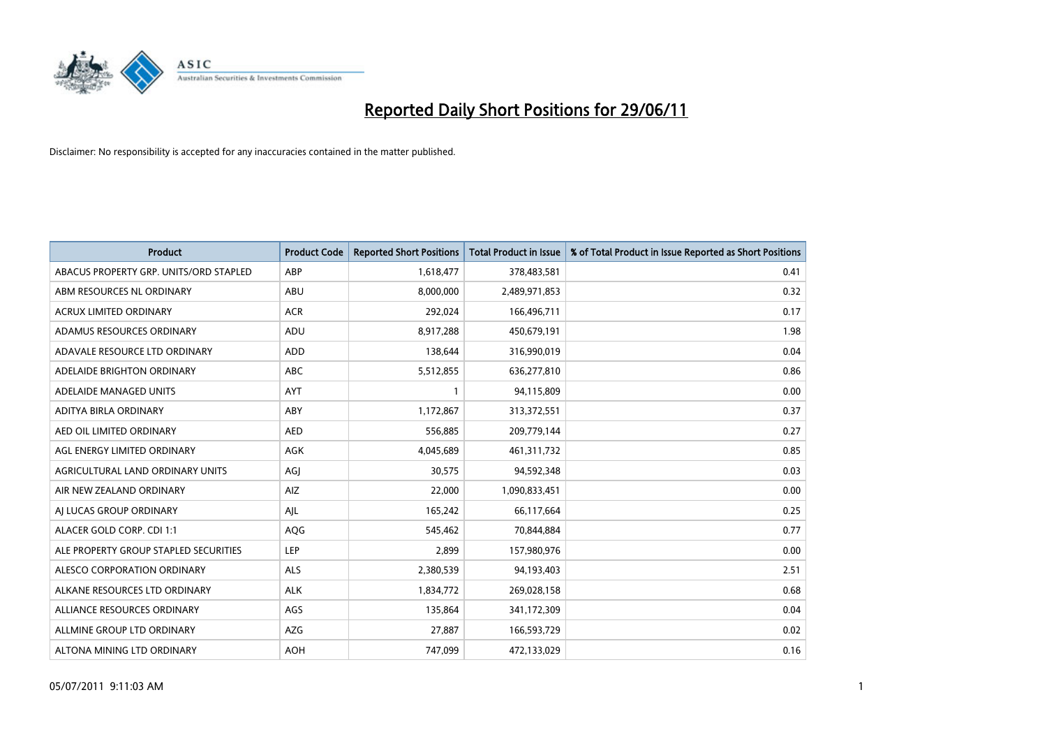

| <b>Product</b>                         | <b>Product Code</b> | <b>Reported Short Positions</b> | <b>Total Product in Issue</b> | % of Total Product in Issue Reported as Short Positions |
|----------------------------------------|---------------------|---------------------------------|-------------------------------|---------------------------------------------------------|
| ABACUS PROPERTY GRP. UNITS/ORD STAPLED | ABP                 | 1,618,477                       | 378,483,581                   | 0.41                                                    |
| ABM RESOURCES NL ORDINARY              | ABU                 | 8,000,000                       | 2,489,971,853                 | 0.32                                                    |
| <b>ACRUX LIMITED ORDINARY</b>          | <b>ACR</b>          | 292,024                         | 166,496,711                   | 0.17                                                    |
| ADAMUS RESOURCES ORDINARY              | ADU                 | 8,917,288                       | 450,679,191                   | 1.98                                                    |
| ADAVALE RESOURCE LTD ORDINARY          | ADD                 | 138,644                         | 316,990,019                   | 0.04                                                    |
| ADELAIDE BRIGHTON ORDINARY             | <b>ABC</b>          | 5,512,855                       | 636,277,810                   | 0.86                                                    |
| ADELAIDE MANAGED UNITS                 | <b>AYT</b>          |                                 | 94,115,809                    | 0.00                                                    |
| ADITYA BIRLA ORDINARY                  | ABY                 | 1,172,867                       | 313,372,551                   | 0.37                                                    |
| AED OIL LIMITED ORDINARY               | <b>AED</b>          | 556,885                         | 209,779,144                   | 0.27                                                    |
| AGL ENERGY LIMITED ORDINARY            | <b>AGK</b>          | 4,045,689                       | 461,311,732                   | 0.85                                                    |
| AGRICULTURAL LAND ORDINARY UNITS       | AGJ                 | 30,575                          | 94,592,348                    | 0.03                                                    |
| AIR NEW ZEALAND ORDINARY               | AIZ                 | 22,000                          | 1,090,833,451                 | 0.00                                                    |
| AI LUCAS GROUP ORDINARY                | AJL                 | 165,242                         | 66,117,664                    | 0.25                                                    |
| ALACER GOLD CORP. CDI 1:1              | AQG                 | 545,462                         | 70,844,884                    | 0.77                                                    |
| ALE PROPERTY GROUP STAPLED SECURITIES  | <b>LEP</b>          | 2,899                           | 157,980,976                   | 0.00                                                    |
| ALESCO CORPORATION ORDINARY            | ALS                 | 2,380,539                       | 94,193,403                    | 2.51                                                    |
| ALKANE RESOURCES LTD ORDINARY          | <b>ALK</b>          | 1,834,772                       | 269,028,158                   | 0.68                                                    |
| ALLIANCE RESOURCES ORDINARY            | AGS                 | 135,864                         | 341,172,309                   | 0.04                                                    |
| ALLMINE GROUP LTD ORDINARY             | <b>AZG</b>          | 27,887                          | 166,593,729                   | 0.02                                                    |
| ALTONA MINING LTD ORDINARY             | <b>AOH</b>          | 747,099                         | 472,133,029                   | 0.16                                                    |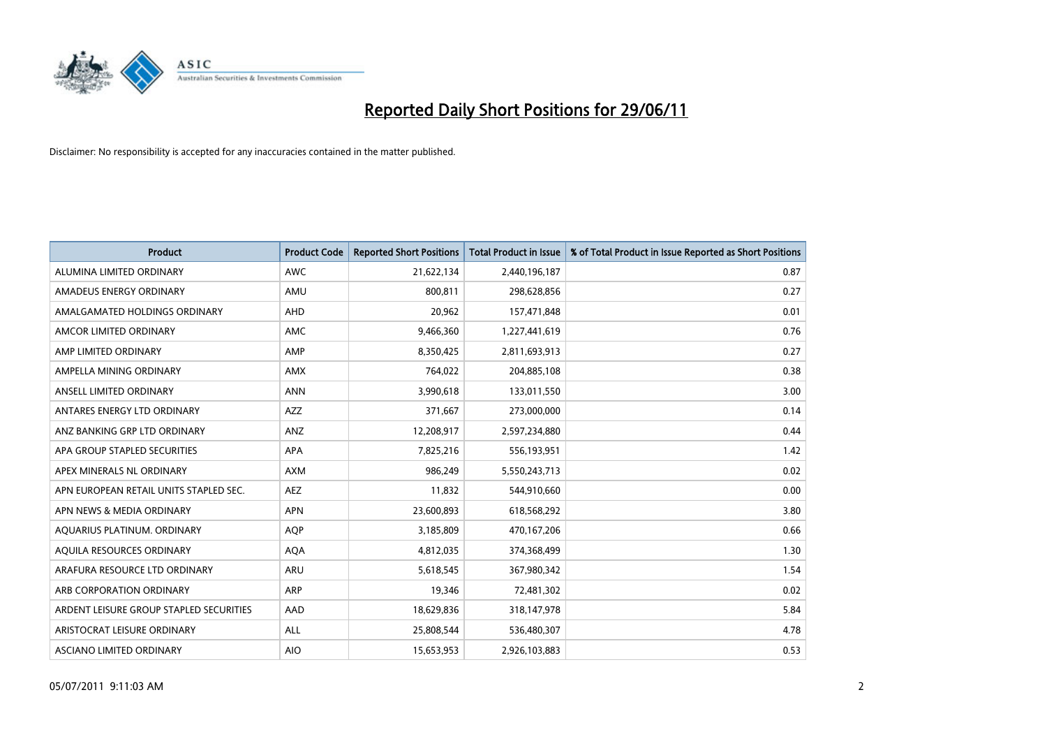

| <b>Product</b>                          | <b>Product Code</b> | <b>Reported Short Positions</b> | <b>Total Product in Issue</b> | % of Total Product in Issue Reported as Short Positions |
|-----------------------------------------|---------------------|---------------------------------|-------------------------------|---------------------------------------------------------|
| ALUMINA LIMITED ORDINARY                | <b>AWC</b>          | 21,622,134                      | 2,440,196,187                 | 0.87                                                    |
| AMADEUS ENERGY ORDINARY                 | AMU                 | 800,811                         | 298,628,856                   | 0.27                                                    |
| AMALGAMATED HOLDINGS ORDINARY           | AHD                 | 20,962                          | 157,471,848                   | 0.01                                                    |
| AMCOR LIMITED ORDINARY                  | <b>AMC</b>          | 9,466,360                       | 1,227,441,619                 | 0.76                                                    |
| AMP LIMITED ORDINARY                    | AMP                 | 8,350,425                       | 2,811,693,913                 | 0.27                                                    |
| AMPELLA MINING ORDINARY                 | AMX                 | 764,022                         | 204,885,108                   | 0.38                                                    |
| ANSELL LIMITED ORDINARY                 | <b>ANN</b>          | 3,990,618                       | 133,011,550                   | 3.00                                                    |
| ANTARES ENERGY LTD ORDINARY             | AZZ                 | 371,667                         | 273,000,000                   | 0.14                                                    |
| ANZ BANKING GRP LTD ORDINARY            | ANZ                 | 12,208,917                      | 2,597,234,880                 | 0.44                                                    |
| APA GROUP STAPLED SECURITIES            | <b>APA</b>          | 7,825,216                       | 556,193,951                   | 1.42                                                    |
| APEX MINERALS NL ORDINARY               | <b>AXM</b>          | 986,249                         | 5,550,243,713                 | 0.02                                                    |
| APN EUROPEAN RETAIL UNITS STAPLED SEC.  | <b>AEZ</b>          | 11,832                          | 544,910,660                   | 0.00                                                    |
| APN NEWS & MEDIA ORDINARY               | <b>APN</b>          | 23,600,893                      | 618,568,292                   | 3.80                                                    |
| AQUARIUS PLATINUM. ORDINARY             | <b>AOP</b>          | 3,185,809                       | 470,167,206                   | 0.66                                                    |
| AQUILA RESOURCES ORDINARY               | <b>AQA</b>          | 4,812,035                       | 374,368,499                   | 1.30                                                    |
| ARAFURA RESOURCE LTD ORDINARY           | <b>ARU</b>          | 5,618,545                       | 367,980,342                   | 1.54                                                    |
| ARB CORPORATION ORDINARY                | <b>ARP</b>          | 19,346                          | 72,481,302                    | 0.02                                                    |
| ARDENT LEISURE GROUP STAPLED SECURITIES | AAD                 | 18,629,836                      | 318,147,978                   | 5.84                                                    |
| ARISTOCRAT LEISURE ORDINARY             | ALL                 | 25,808,544                      | 536,480,307                   | 4.78                                                    |
| ASCIANO LIMITED ORDINARY                | <b>AIO</b>          | 15,653,953                      | 2,926,103,883                 | 0.53                                                    |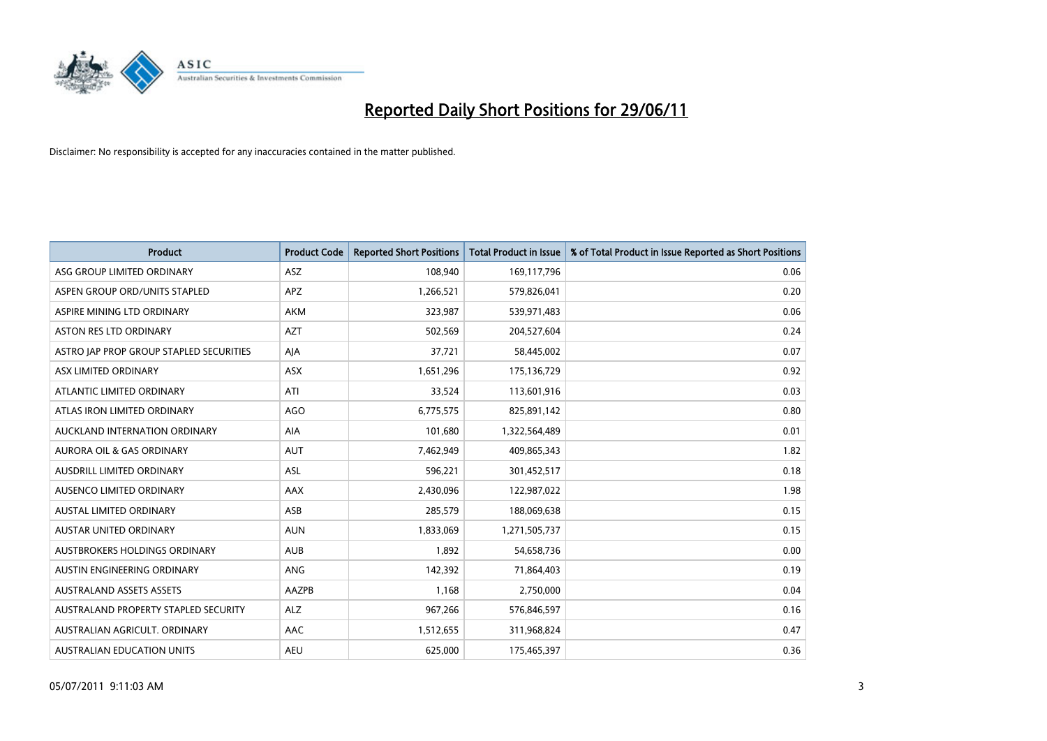

| <b>Product</b>                          | <b>Product Code</b> | <b>Reported Short Positions</b> | <b>Total Product in Issue</b> | % of Total Product in Issue Reported as Short Positions |
|-----------------------------------------|---------------------|---------------------------------|-------------------------------|---------------------------------------------------------|
| ASG GROUP LIMITED ORDINARY              | ASZ                 | 108,940                         | 169,117,796                   | 0.06                                                    |
| ASPEN GROUP ORD/UNITS STAPLED           | APZ                 | 1,266,521                       | 579,826,041                   | 0.20                                                    |
| ASPIRE MINING LTD ORDINARY              | <b>AKM</b>          | 323,987                         | 539,971,483                   | 0.06                                                    |
| ASTON RES LTD ORDINARY                  | <b>AZT</b>          | 502,569                         | 204,527,604                   | 0.24                                                    |
| ASTRO JAP PROP GROUP STAPLED SECURITIES | AJA                 | 37,721                          | 58,445,002                    | 0.07                                                    |
| ASX LIMITED ORDINARY                    | ASX                 | 1,651,296                       | 175,136,729                   | 0.92                                                    |
| ATLANTIC LIMITED ORDINARY               | ATI                 | 33,524                          | 113,601,916                   | 0.03                                                    |
| ATLAS IRON LIMITED ORDINARY             | <b>AGO</b>          | 6,775,575                       | 825,891,142                   | 0.80                                                    |
| AUCKLAND INTERNATION ORDINARY           | <b>AIA</b>          | 101,680                         | 1,322,564,489                 | 0.01                                                    |
| <b>AURORA OIL &amp; GAS ORDINARY</b>    | <b>AUT</b>          | 7,462,949                       | 409,865,343                   | 1.82                                                    |
| AUSDRILL LIMITED ORDINARY               | ASL                 | 596,221                         | 301,452,517                   | 0.18                                                    |
| AUSENCO LIMITED ORDINARY                | AAX                 | 2,430,096                       | 122,987,022                   | 1.98                                                    |
| AUSTAL LIMITED ORDINARY                 | ASB                 | 285,579                         | 188,069,638                   | 0.15                                                    |
| <b>AUSTAR UNITED ORDINARY</b>           | <b>AUN</b>          | 1,833,069                       | 1,271,505,737                 | 0.15                                                    |
| AUSTBROKERS HOLDINGS ORDINARY           | <b>AUB</b>          | 1,892                           | 54,658,736                    | 0.00                                                    |
| AUSTIN ENGINEERING ORDINARY             | ANG                 | 142,392                         | 71,864,403                    | 0.19                                                    |
| <b>AUSTRALAND ASSETS ASSETS</b>         | AAZPB               | 1,168                           | 2,750,000                     | 0.04                                                    |
| AUSTRALAND PROPERTY STAPLED SECURITY    | <b>ALZ</b>          | 967,266                         | 576,846,597                   | 0.16                                                    |
| AUSTRALIAN AGRICULT, ORDINARY           | AAC                 | 1,512,655                       | 311,968,824                   | 0.47                                                    |
| AUSTRALIAN EDUCATION UNITS              | <b>AEU</b>          | 625,000                         | 175,465,397                   | 0.36                                                    |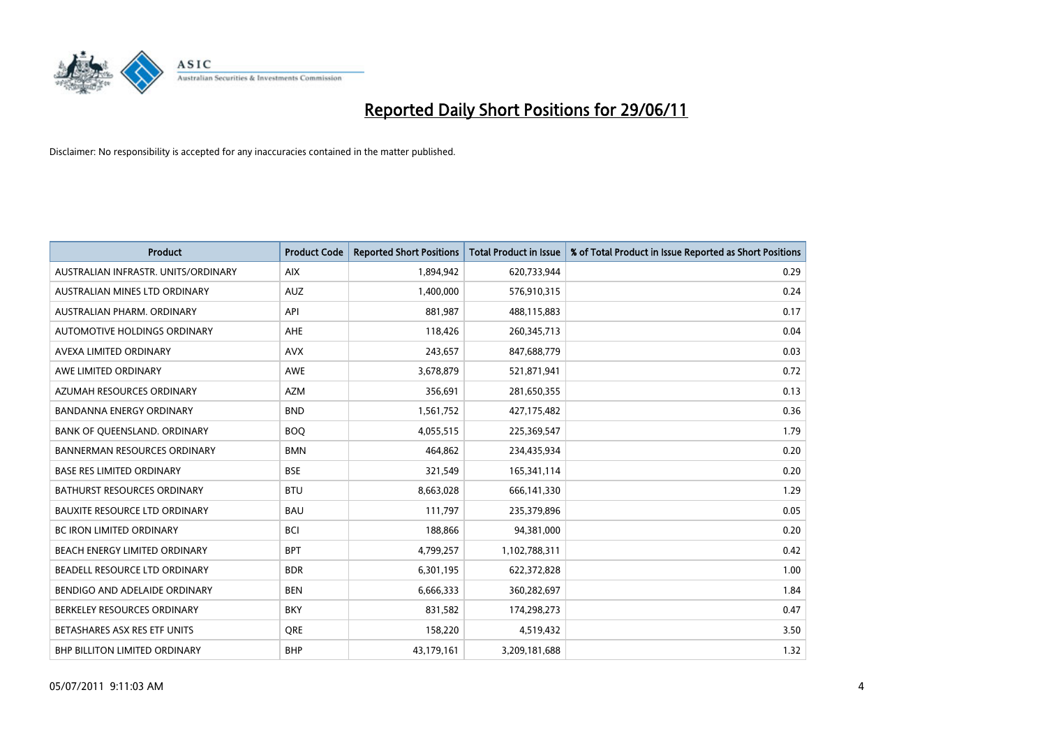

| <b>Product</b>                       | <b>Product Code</b> | <b>Reported Short Positions</b> | <b>Total Product in Issue</b> | % of Total Product in Issue Reported as Short Positions |
|--------------------------------------|---------------------|---------------------------------|-------------------------------|---------------------------------------------------------|
| AUSTRALIAN INFRASTR, UNITS/ORDINARY  | <b>AIX</b>          | 1,894,942                       | 620,733,944                   | 0.29                                                    |
| AUSTRALIAN MINES LTD ORDINARY        | <b>AUZ</b>          | 1,400,000                       | 576,910,315                   | 0.24                                                    |
| AUSTRALIAN PHARM, ORDINARY           | API                 | 881,987                         | 488,115,883                   | 0.17                                                    |
| <b>AUTOMOTIVE HOLDINGS ORDINARY</b>  | <b>AHE</b>          | 118,426                         | 260,345,713                   | 0.04                                                    |
| AVEXA LIMITED ORDINARY               | <b>AVX</b>          | 243,657                         | 847,688,779                   | 0.03                                                    |
| AWE LIMITED ORDINARY                 | <b>AWE</b>          | 3,678,879                       | 521,871,941                   | 0.72                                                    |
| AZUMAH RESOURCES ORDINARY            | <b>AZM</b>          | 356,691                         | 281,650,355                   | 0.13                                                    |
| <b>BANDANNA ENERGY ORDINARY</b>      | <b>BND</b>          | 1,561,752                       | 427,175,482                   | 0.36                                                    |
| BANK OF QUEENSLAND. ORDINARY         | <b>BOQ</b>          | 4,055,515                       | 225,369,547                   | 1.79                                                    |
| <b>BANNERMAN RESOURCES ORDINARY</b>  | <b>BMN</b>          | 464,862                         | 234,435,934                   | 0.20                                                    |
| <b>BASE RES LIMITED ORDINARY</b>     | <b>BSE</b>          | 321,549                         | 165,341,114                   | 0.20                                                    |
| <b>BATHURST RESOURCES ORDINARY</b>   | <b>BTU</b>          | 8,663,028                       | 666,141,330                   | 1.29                                                    |
| <b>BAUXITE RESOURCE LTD ORDINARY</b> | <b>BAU</b>          | 111,797                         | 235,379,896                   | 0.05                                                    |
| <b>BC IRON LIMITED ORDINARY</b>      | <b>BCI</b>          | 188,866                         | 94,381,000                    | 0.20                                                    |
| BEACH ENERGY LIMITED ORDINARY        | <b>BPT</b>          | 4,799,257                       | 1,102,788,311                 | 0.42                                                    |
| BEADELL RESOURCE LTD ORDINARY        | <b>BDR</b>          | 6,301,195                       | 622,372,828                   | 1.00                                                    |
| BENDIGO AND ADELAIDE ORDINARY        | <b>BEN</b>          | 6,666,333                       | 360,282,697                   | 1.84                                                    |
| BERKELEY RESOURCES ORDINARY          | <b>BKY</b>          | 831,582                         | 174,298,273                   | 0.47                                                    |
| BETASHARES ASX RES ETF UNITS         | <b>ORE</b>          | 158,220                         | 4,519,432                     | 3.50                                                    |
| BHP BILLITON LIMITED ORDINARY        | <b>BHP</b>          | 43,179,161                      | 3,209,181,688                 | 1.32                                                    |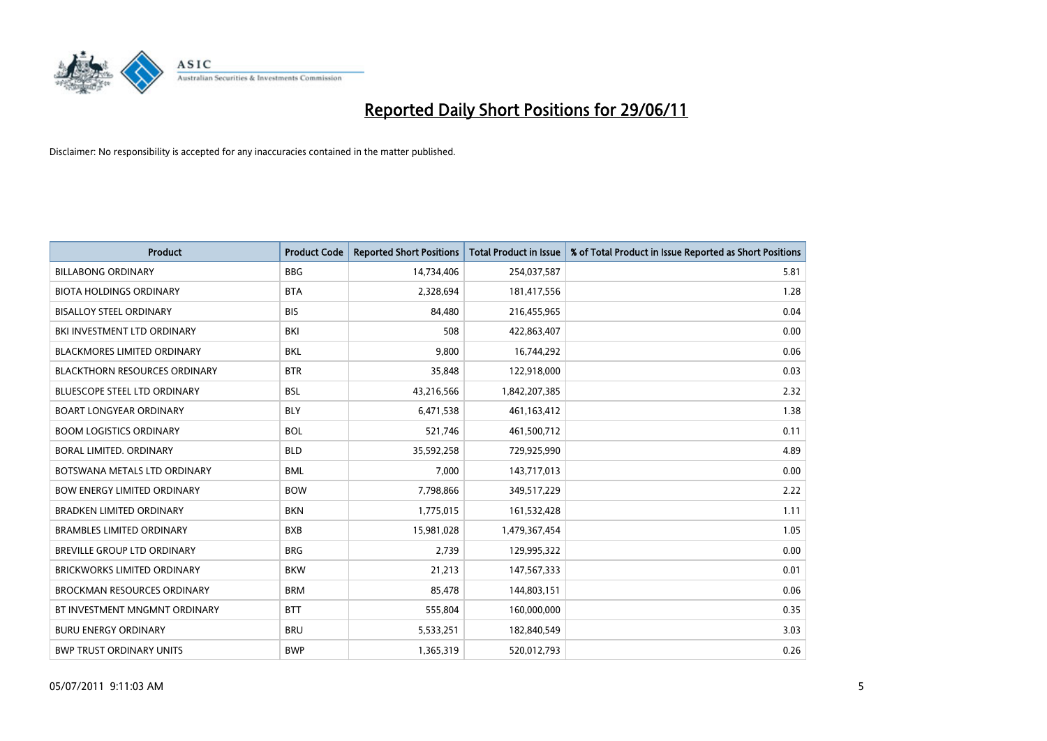

| <b>Product</b>                       | <b>Product Code</b> | <b>Reported Short Positions</b> | <b>Total Product in Issue</b> | % of Total Product in Issue Reported as Short Positions |
|--------------------------------------|---------------------|---------------------------------|-------------------------------|---------------------------------------------------------|
| <b>BILLABONG ORDINARY</b>            | <b>BBG</b>          | 14,734,406                      | 254,037,587                   | 5.81                                                    |
| <b>BIOTA HOLDINGS ORDINARY</b>       | <b>BTA</b>          | 2,328,694                       | 181,417,556                   | 1.28                                                    |
| <b>BISALLOY STEEL ORDINARY</b>       | <b>BIS</b>          | 84,480                          | 216,455,965                   | 0.04                                                    |
| BKI INVESTMENT LTD ORDINARY          | BKI                 | 508                             | 422,863,407                   | 0.00                                                    |
| <b>BLACKMORES LIMITED ORDINARY</b>   | <b>BKL</b>          | 9,800                           | 16,744,292                    | 0.06                                                    |
| <b>BLACKTHORN RESOURCES ORDINARY</b> | <b>BTR</b>          | 35,848                          | 122,918,000                   | 0.03                                                    |
| <b>BLUESCOPE STEEL LTD ORDINARY</b>  | BSL                 | 43,216,566                      | 1,842,207,385                 | 2.32                                                    |
| <b>BOART LONGYEAR ORDINARY</b>       | <b>BLY</b>          | 6,471,538                       | 461,163,412                   | 1.38                                                    |
| <b>BOOM LOGISTICS ORDINARY</b>       | <b>BOL</b>          | 521,746                         | 461,500,712                   | 0.11                                                    |
| <b>BORAL LIMITED, ORDINARY</b>       | <b>BLD</b>          | 35,592,258                      | 729,925,990                   | 4.89                                                    |
| BOTSWANA METALS LTD ORDINARY         | <b>BML</b>          | 7,000                           | 143,717,013                   | 0.00                                                    |
| <b>BOW ENERGY LIMITED ORDINARY</b>   | <b>BOW</b>          | 7,798,866                       | 349,517,229                   | 2.22                                                    |
| BRADKEN LIMITED ORDINARY             | <b>BKN</b>          | 1,775,015                       | 161,532,428                   | 1.11                                                    |
| <b>BRAMBLES LIMITED ORDINARY</b>     | <b>BXB</b>          | 15,981,028                      | 1,479,367,454                 | 1.05                                                    |
| BREVILLE GROUP LTD ORDINARY          | <b>BRG</b>          | 2,739                           | 129,995,322                   | 0.00                                                    |
| <b>BRICKWORKS LIMITED ORDINARY</b>   | <b>BKW</b>          | 21,213                          | 147,567,333                   | 0.01                                                    |
| <b>BROCKMAN RESOURCES ORDINARY</b>   | <b>BRM</b>          | 85,478                          | 144,803,151                   | 0.06                                                    |
| BT INVESTMENT MNGMNT ORDINARY        | <b>BTT</b>          | 555,804                         | 160,000,000                   | 0.35                                                    |
| <b>BURU ENERGY ORDINARY</b>          | <b>BRU</b>          | 5,533,251                       | 182,840,549                   | 3.03                                                    |
| <b>BWP TRUST ORDINARY UNITS</b>      | <b>BWP</b>          | 1,365,319                       | 520,012,793                   | 0.26                                                    |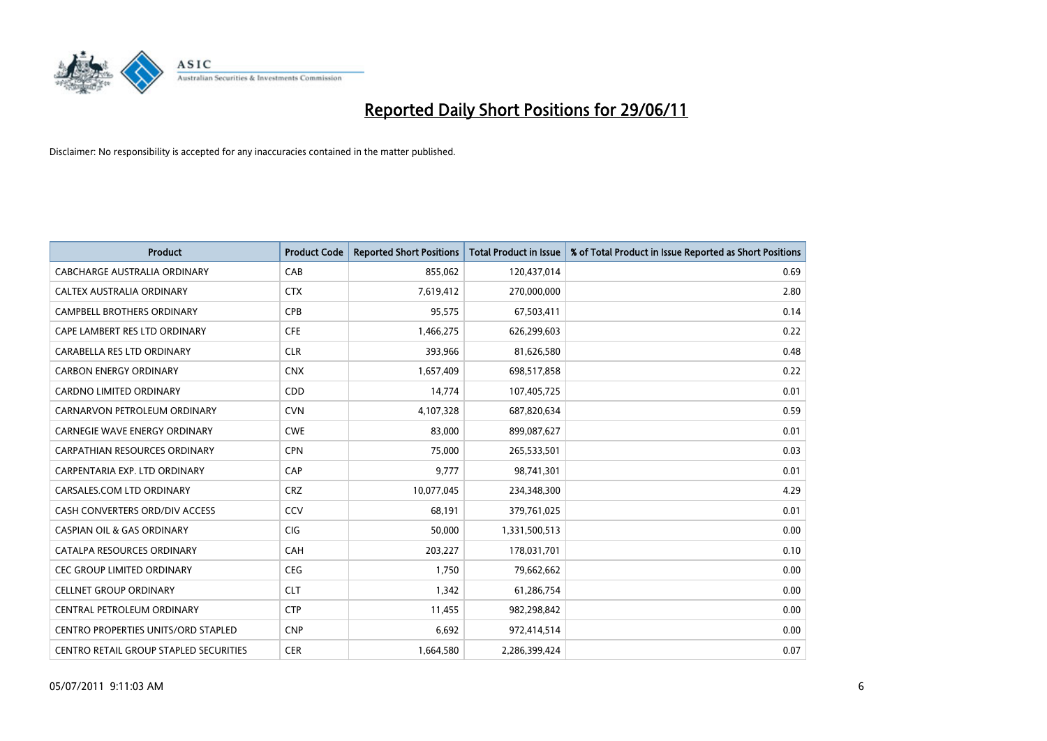

| <b>Product</b>                                | <b>Product Code</b> | <b>Reported Short Positions</b> | <b>Total Product in Issue</b> | % of Total Product in Issue Reported as Short Positions |
|-----------------------------------------------|---------------------|---------------------------------|-------------------------------|---------------------------------------------------------|
| CABCHARGE AUSTRALIA ORDINARY                  | CAB                 | 855,062                         | 120,437,014                   | 0.69                                                    |
| CALTEX AUSTRALIA ORDINARY                     | <b>CTX</b>          | 7,619,412                       | 270,000,000                   | 2.80                                                    |
| <b>CAMPBELL BROTHERS ORDINARY</b>             | <b>CPB</b>          | 95,575                          | 67,503,411                    | 0.14                                                    |
| CAPE LAMBERT RES LTD ORDINARY                 | <b>CFE</b>          | 1,466,275                       | 626,299,603                   | 0.22                                                    |
| CARABELLA RES LTD ORDINARY                    | <b>CLR</b>          | 393,966                         | 81,626,580                    | 0.48                                                    |
| <b>CARBON ENERGY ORDINARY</b>                 | <b>CNX</b>          | 1,657,409                       | 698,517,858                   | 0.22                                                    |
| <b>CARDNO LIMITED ORDINARY</b>                | CDD                 | 14.774                          | 107,405,725                   | 0.01                                                    |
| CARNARVON PETROLEUM ORDINARY                  | <b>CVN</b>          | 4,107,328                       | 687,820,634                   | 0.59                                                    |
| <b>CARNEGIE WAVE ENERGY ORDINARY</b>          | <b>CWE</b>          | 83,000                          | 899,087,627                   | 0.01                                                    |
| <b>CARPATHIAN RESOURCES ORDINARY</b>          | <b>CPN</b>          | 75,000                          | 265,533,501                   | 0.03                                                    |
| CARPENTARIA EXP. LTD ORDINARY                 | CAP                 | 9,777                           | 98,741,301                    | 0.01                                                    |
| CARSALES.COM LTD ORDINARY                     | <b>CRZ</b>          | 10,077,045                      | 234,348,300                   | 4.29                                                    |
| CASH CONVERTERS ORD/DIV ACCESS                | CCV                 | 68.191                          | 379,761,025                   | 0.01                                                    |
| <b>CASPIAN OIL &amp; GAS ORDINARY</b>         | <b>CIG</b>          | 50.000                          | 1,331,500,513                 | 0.00                                                    |
| CATALPA RESOURCES ORDINARY                    | CAH                 | 203,227                         | 178,031,701                   | 0.10                                                    |
| CEC GROUP LIMITED ORDINARY                    | <b>CEG</b>          | 1,750                           | 79,662,662                    | 0.00                                                    |
| <b>CELLNET GROUP ORDINARY</b>                 | <b>CLT</b>          | 1,342                           | 61,286,754                    | 0.00                                                    |
| CENTRAL PETROLEUM ORDINARY                    | <b>CTP</b>          | 11,455                          | 982,298,842                   | 0.00                                                    |
| <b>CENTRO PROPERTIES UNITS/ORD STAPLED</b>    | <b>CNP</b>          | 6,692                           | 972,414,514                   | 0.00                                                    |
| <b>CENTRO RETAIL GROUP STAPLED SECURITIES</b> | <b>CER</b>          | 1,664,580                       | 2,286,399,424                 | 0.07                                                    |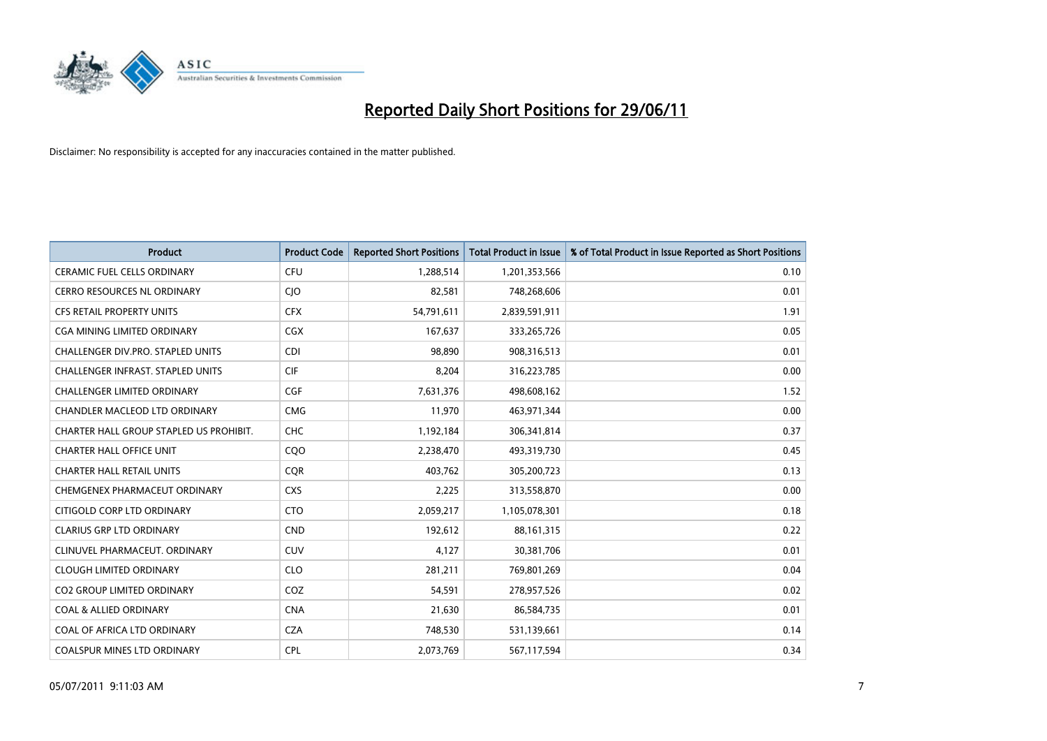

| <b>Product</b>                           | <b>Product Code</b> | <b>Reported Short Positions</b> | <b>Total Product in Issue</b> | % of Total Product in Issue Reported as Short Positions |
|------------------------------------------|---------------------|---------------------------------|-------------------------------|---------------------------------------------------------|
| <b>CERAMIC FUEL CELLS ORDINARY</b>       | <b>CFU</b>          | 1,288,514                       | 1,201,353,566                 | 0.10                                                    |
| CERRO RESOURCES NL ORDINARY              | CJO                 | 82,581                          | 748,268,606                   | 0.01                                                    |
| CFS RETAIL PROPERTY UNITS                | <b>CFX</b>          | 54,791,611                      | 2,839,591,911                 | 1.91                                                    |
| <b>CGA MINING LIMITED ORDINARY</b>       | CGX                 | 167,637                         | 333,265,726                   | 0.05                                                    |
| CHALLENGER DIV.PRO. STAPLED UNITS        | <b>CDI</b>          | 98,890                          | 908,316,513                   | 0.01                                                    |
| <b>CHALLENGER INFRAST, STAPLED UNITS</b> | <b>CIF</b>          | 8,204                           | 316,223,785                   | 0.00                                                    |
| <b>CHALLENGER LIMITED ORDINARY</b>       | <b>CGF</b>          | 7,631,376                       | 498,608,162                   | 1.52                                                    |
| CHANDLER MACLEOD LTD ORDINARY            | <b>CMG</b>          | 11,970                          | 463,971,344                   | 0.00                                                    |
| CHARTER HALL GROUP STAPLED US PROHIBIT.  | <b>CHC</b>          | 1,192,184                       | 306,341,814                   | 0.37                                                    |
| <b>CHARTER HALL OFFICE UNIT</b>          | CQO                 | 2,238,470                       | 493,319,730                   | 0.45                                                    |
| <b>CHARTER HALL RETAIL UNITS</b>         | <b>CQR</b>          | 403,762                         | 305,200,723                   | 0.13                                                    |
| CHEMGENEX PHARMACEUT ORDINARY            | <b>CXS</b>          | 2,225                           | 313,558,870                   | 0.00                                                    |
| CITIGOLD CORP LTD ORDINARY               | <b>CTO</b>          | 2,059,217                       | 1,105,078,301                 | 0.18                                                    |
| <b>CLARIUS GRP LTD ORDINARY</b>          | <b>CND</b>          | 192,612                         | 88,161,315                    | 0.22                                                    |
| CLINUVEL PHARMACEUT, ORDINARY            | CUV                 | 4,127                           | 30,381,706                    | 0.01                                                    |
| <b>CLOUGH LIMITED ORDINARY</b>           | <b>CLO</b>          | 281,211                         | 769,801,269                   | 0.04                                                    |
| CO2 GROUP LIMITED ORDINARY               | COZ                 | 54,591                          | 278,957,526                   | 0.02                                                    |
| <b>COAL &amp; ALLIED ORDINARY</b>        | <b>CNA</b>          | 21,630                          | 86,584,735                    | 0.01                                                    |
| COAL OF AFRICA LTD ORDINARY              | <b>CZA</b>          | 748,530                         | 531,139,661                   | 0.14                                                    |
| COALSPUR MINES LTD ORDINARY              | <b>CPL</b>          | 2,073,769                       | 567,117,594                   | 0.34                                                    |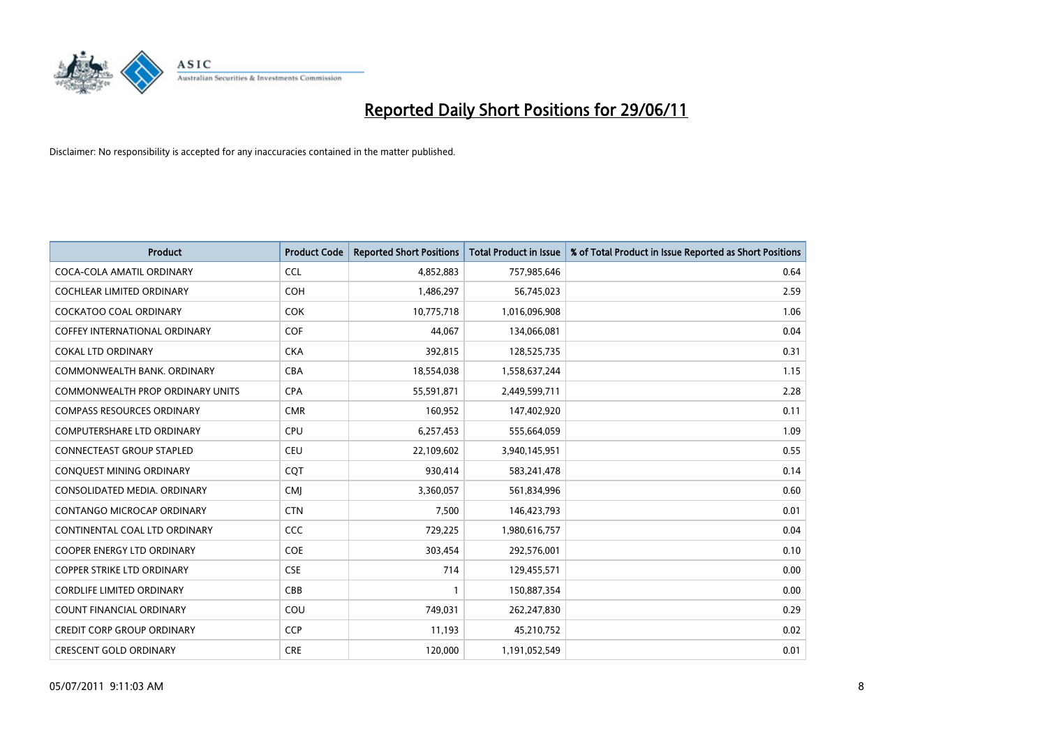

| <b>Product</b>                       | <b>Product Code</b> | <b>Reported Short Positions</b> | <b>Total Product in Issue</b> | % of Total Product in Issue Reported as Short Positions |
|--------------------------------------|---------------------|---------------------------------|-------------------------------|---------------------------------------------------------|
| COCA-COLA AMATIL ORDINARY            | <b>CCL</b>          | 4,852,883                       | 757,985,646                   | 0.64                                                    |
| COCHLEAR LIMITED ORDINARY            | <b>COH</b>          | 1,486,297                       | 56,745,023                    | 2.59                                                    |
| <b>COCKATOO COAL ORDINARY</b>        | COK                 | 10,775,718                      | 1,016,096,908                 | 1.06                                                    |
| <b>COFFEY INTERNATIONAL ORDINARY</b> | <b>COF</b>          | 44,067                          | 134,066,081                   | 0.04                                                    |
| <b>COKAL LTD ORDINARY</b>            | <b>CKA</b>          | 392,815                         | 128,525,735                   | 0.31                                                    |
| COMMONWEALTH BANK, ORDINARY          | <b>CBA</b>          | 18,554,038                      | 1,558,637,244                 | 1.15                                                    |
| COMMONWEALTH PROP ORDINARY UNITS     | <b>CPA</b>          | 55,591,871                      | 2,449,599,711                 | 2.28                                                    |
| <b>COMPASS RESOURCES ORDINARY</b>    | <b>CMR</b>          | 160,952                         | 147,402,920                   | 0.11                                                    |
| <b>COMPUTERSHARE LTD ORDINARY</b>    | <b>CPU</b>          | 6,257,453                       | 555,664,059                   | 1.09                                                    |
| <b>CONNECTEAST GROUP STAPLED</b>     | <b>CEU</b>          | 22,109,602                      | 3,940,145,951                 | 0.55                                                    |
| CONQUEST MINING ORDINARY             | <b>COT</b>          | 930,414                         | 583,241,478                   | 0.14                                                    |
| CONSOLIDATED MEDIA, ORDINARY         | <b>CMJ</b>          | 3,360,057                       | 561,834,996                   | 0.60                                                    |
| CONTANGO MICROCAP ORDINARY           | <b>CTN</b>          | 7,500                           | 146,423,793                   | 0.01                                                    |
| CONTINENTAL COAL LTD ORDINARY        | <b>CCC</b>          | 729,225                         | 1,980,616,757                 | 0.04                                                    |
| <b>COOPER ENERGY LTD ORDINARY</b>    | <b>COE</b>          | 303,454                         | 292,576,001                   | 0.10                                                    |
| COPPER STRIKE LTD ORDINARY           | <b>CSE</b>          | 714                             | 129,455,571                   | 0.00                                                    |
| <b>CORDLIFE LIMITED ORDINARY</b>     | CBB                 | 1                               | 150,887,354                   | 0.00                                                    |
| COUNT FINANCIAL ORDINARY             | COU                 | 749,031                         | 262,247,830                   | 0.29                                                    |
| <b>CREDIT CORP GROUP ORDINARY</b>    | <b>CCP</b>          | 11,193                          | 45,210,752                    | 0.02                                                    |
| <b>CRESCENT GOLD ORDINARY</b>        | <b>CRE</b>          | 120,000                         | 1,191,052,549                 | 0.01                                                    |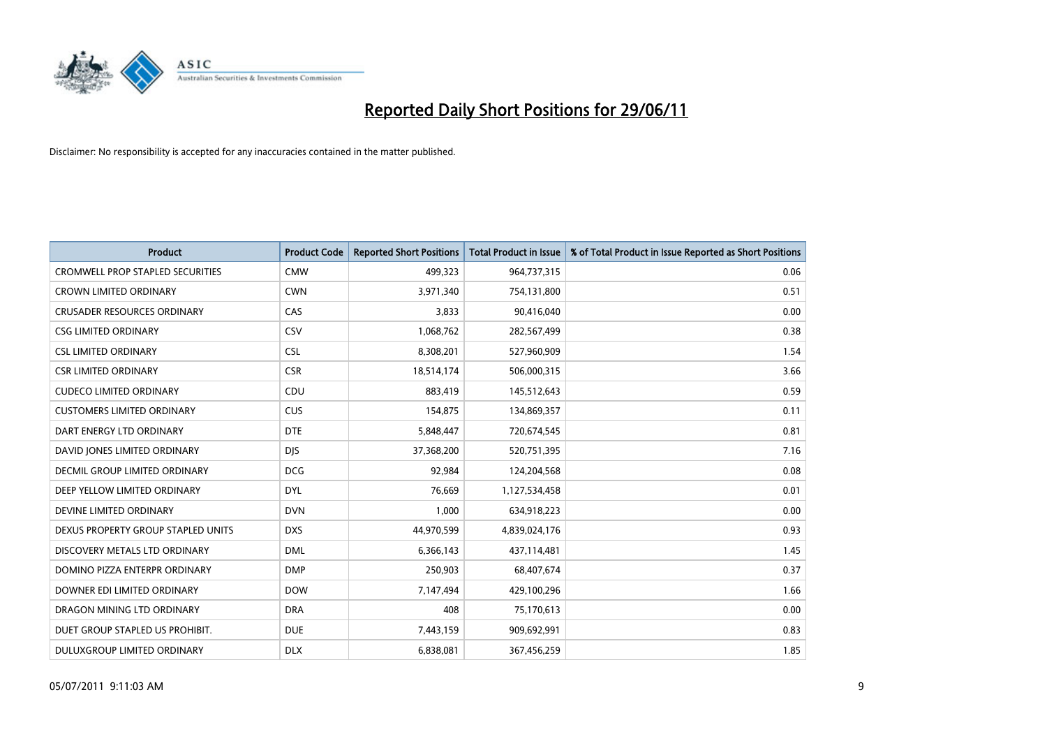

| <b>Product</b>                          | <b>Product Code</b> | <b>Reported Short Positions</b> | <b>Total Product in Issue</b> | % of Total Product in Issue Reported as Short Positions |
|-----------------------------------------|---------------------|---------------------------------|-------------------------------|---------------------------------------------------------|
| <b>CROMWELL PROP STAPLED SECURITIES</b> | <b>CMW</b>          | 499,323                         | 964,737,315                   | 0.06                                                    |
| <b>CROWN LIMITED ORDINARY</b>           | <b>CWN</b>          | 3,971,340                       | 754,131,800                   | 0.51                                                    |
| <b>CRUSADER RESOURCES ORDINARY</b>      | CAS                 | 3,833                           | 90,416,040                    | 0.00                                                    |
| <b>CSG LIMITED ORDINARY</b>             | CSV                 | 1,068,762                       | 282,567,499                   | 0.38                                                    |
| <b>CSL LIMITED ORDINARY</b>             | <b>CSL</b>          | 8,308,201                       | 527,960,909                   | 1.54                                                    |
| <b>CSR LIMITED ORDINARY</b>             | <b>CSR</b>          | 18,514,174                      | 506,000,315                   | 3.66                                                    |
| <b>CUDECO LIMITED ORDINARY</b>          | CDU                 | 883,419                         | 145,512,643                   | 0.59                                                    |
| <b>CUSTOMERS LIMITED ORDINARY</b>       | <b>CUS</b>          | 154,875                         | 134,869,357                   | 0.11                                                    |
| DART ENERGY LTD ORDINARY                | <b>DTE</b>          | 5,848,447                       | 720,674,545                   | 0.81                                                    |
| DAVID JONES LIMITED ORDINARY            | <b>DJS</b>          | 37,368,200                      | 520,751,395                   | 7.16                                                    |
| DECMIL GROUP LIMITED ORDINARY           | <b>DCG</b>          | 92,984                          | 124,204,568                   | 0.08                                                    |
| DEEP YELLOW LIMITED ORDINARY            | <b>DYL</b>          | 76,669                          | 1,127,534,458                 | 0.01                                                    |
| DEVINE LIMITED ORDINARY                 | <b>DVN</b>          | 1,000                           | 634,918,223                   | 0.00                                                    |
| DEXUS PROPERTY GROUP STAPLED UNITS      | <b>DXS</b>          | 44,970,599                      | 4,839,024,176                 | 0.93                                                    |
| DISCOVERY METALS LTD ORDINARY           | <b>DML</b>          | 6,366,143                       | 437,114,481                   | 1.45                                                    |
| DOMINO PIZZA ENTERPR ORDINARY           | <b>DMP</b>          | 250,903                         | 68,407,674                    | 0.37                                                    |
| DOWNER EDI LIMITED ORDINARY             | <b>DOW</b>          | 7,147,494                       | 429,100,296                   | 1.66                                                    |
| DRAGON MINING LTD ORDINARY              | <b>DRA</b>          | 408                             | 75,170,613                    | 0.00                                                    |
| DUET GROUP STAPLED US PROHIBIT.         | <b>DUE</b>          | 7,443,159                       | 909,692,991                   | 0.83                                                    |
| DULUXGROUP LIMITED ORDINARY             | <b>DLX</b>          | 6,838,081                       | 367,456,259                   | 1.85                                                    |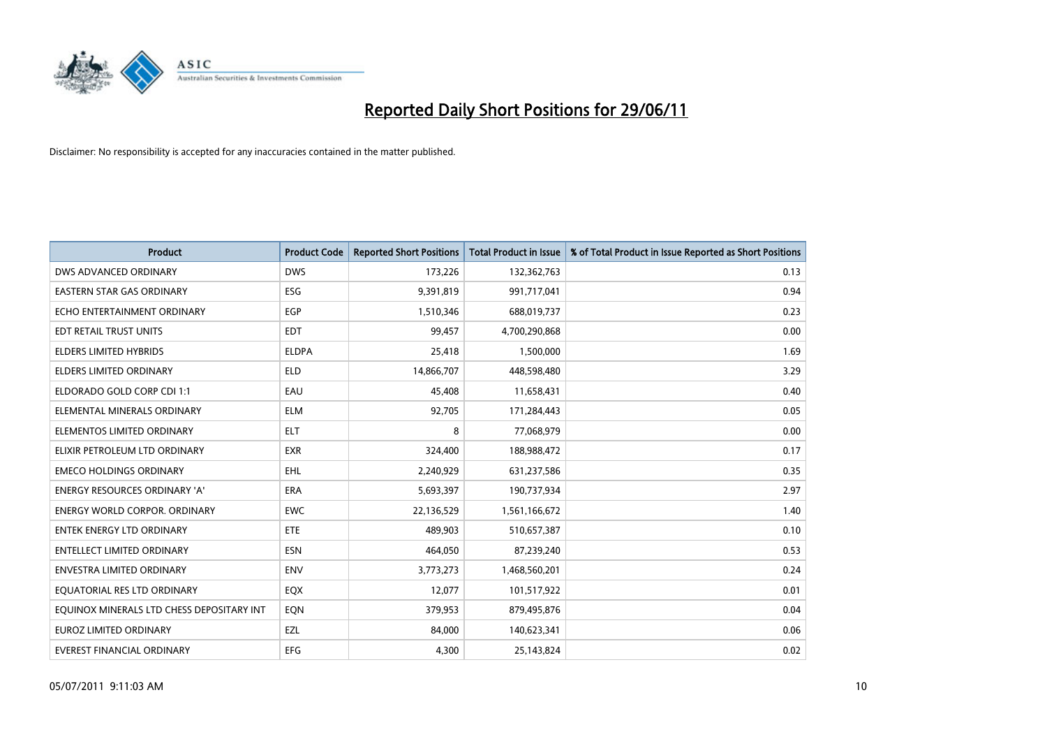

| <b>Product</b>                            | <b>Product Code</b> | <b>Reported Short Positions</b> | <b>Total Product in Issue</b> | % of Total Product in Issue Reported as Short Positions |
|-------------------------------------------|---------------------|---------------------------------|-------------------------------|---------------------------------------------------------|
| <b>DWS ADVANCED ORDINARY</b>              | <b>DWS</b>          | 173,226                         | 132,362,763                   | 0.13                                                    |
| EASTERN STAR GAS ORDINARY                 | <b>ESG</b>          | 9,391,819                       | 991,717,041                   | 0.94                                                    |
| ECHO ENTERTAINMENT ORDINARY               | <b>EGP</b>          | 1,510,346                       | 688,019,737                   | 0.23                                                    |
| EDT RETAIL TRUST UNITS                    | <b>EDT</b>          | 99,457                          | 4,700,290,868                 | 0.00                                                    |
| ELDERS LIMITED HYBRIDS                    | <b>ELDPA</b>        | 25,418                          | 1,500,000                     | 1.69                                                    |
| <b>ELDERS LIMITED ORDINARY</b>            | <b>ELD</b>          | 14,866,707                      | 448,598,480                   | 3.29                                                    |
| ELDORADO GOLD CORP CDI 1:1                | EAU                 | 45,408                          | 11,658,431                    | 0.40                                                    |
| ELEMENTAL MINERALS ORDINARY               | <b>ELM</b>          | 92,705                          | 171,284,443                   | 0.05                                                    |
| ELEMENTOS LIMITED ORDINARY                | <b>ELT</b>          | 8                               | 77,068,979                    | 0.00                                                    |
| ELIXIR PETROLEUM LTD ORDINARY             | <b>EXR</b>          | 324,400                         | 188,988,472                   | 0.17                                                    |
| <b>EMECO HOLDINGS ORDINARY</b>            | <b>EHL</b>          | 2,240,929                       | 631,237,586                   | 0.35                                                    |
| <b>ENERGY RESOURCES ORDINARY 'A'</b>      | ERA                 | 5,693,397                       | 190,737,934                   | 2.97                                                    |
| <b>ENERGY WORLD CORPOR, ORDINARY</b>      | <b>EWC</b>          | 22,136,529                      | 1,561,166,672                 | 1.40                                                    |
| <b>ENTEK ENERGY LTD ORDINARY</b>          | ETE                 | 489,903                         | 510,657,387                   | 0.10                                                    |
| <b>ENTELLECT LIMITED ORDINARY</b>         | <b>ESN</b>          | 464,050                         | 87,239,240                    | 0.53                                                    |
| <b>ENVESTRA LIMITED ORDINARY</b>          | <b>ENV</b>          | 3,773,273                       | 1,468,560,201                 | 0.24                                                    |
| EQUATORIAL RES LTD ORDINARY               | EQX                 | 12,077                          | 101,517,922                   | 0.01                                                    |
| EQUINOX MINERALS LTD CHESS DEPOSITARY INT | EQN                 | 379,953                         | 879,495,876                   | 0.04                                                    |
| <b>EUROZ LIMITED ORDINARY</b>             | EZL                 | 84,000                          | 140,623,341                   | 0.06                                                    |
| EVEREST FINANCIAL ORDINARY                | <b>EFG</b>          | 4,300                           | 25,143,824                    | 0.02                                                    |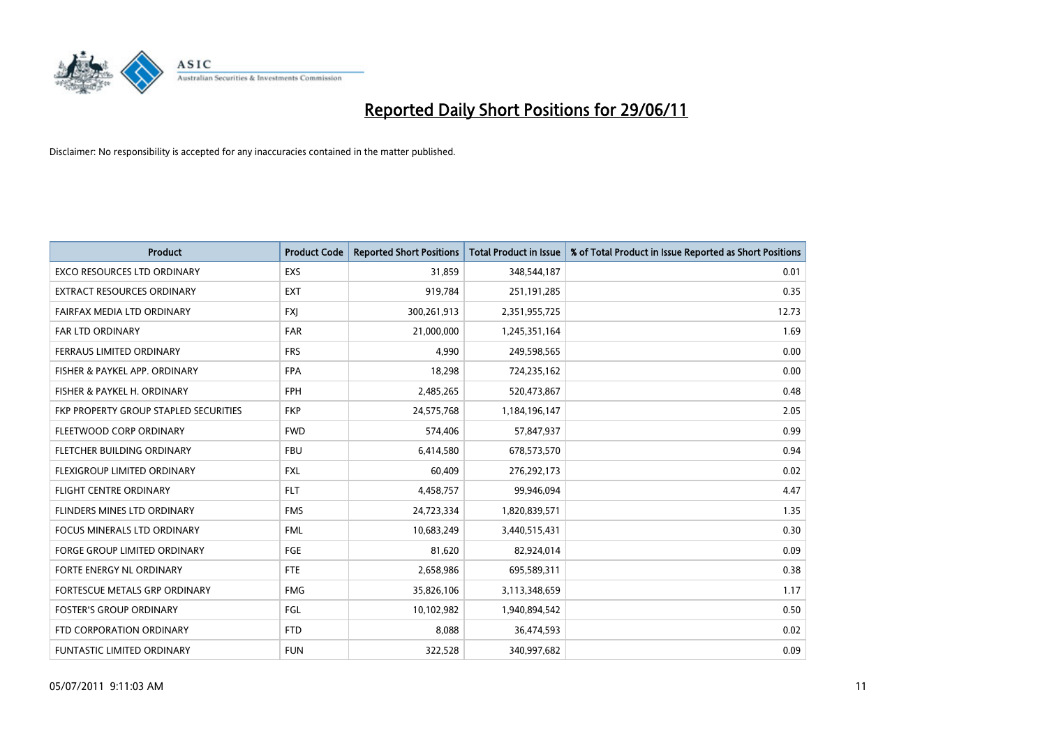

| <b>Product</b>                        | <b>Product Code</b> | <b>Reported Short Positions</b> | <b>Total Product in Issue</b> | % of Total Product in Issue Reported as Short Positions |
|---------------------------------------|---------------------|---------------------------------|-------------------------------|---------------------------------------------------------|
| <b>EXCO RESOURCES LTD ORDINARY</b>    | <b>EXS</b>          | 31,859                          | 348,544,187                   | 0.01                                                    |
| EXTRACT RESOURCES ORDINARY            | <b>EXT</b>          | 919,784                         | 251,191,285                   | 0.35                                                    |
| FAIRFAX MEDIA LTD ORDINARY            | <b>FXI</b>          | 300,261,913                     | 2,351,955,725                 | 12.73                                                   |
| FAR LTD ORDINARY                      | <b>FAR</b>          | 21,000,000                      | 1,245,351,164                 | 1.69                                                    |
| FERRAUS LIMITED ORDINARY              | <b>FRS</b>          | 4,990                           | 249,598,565                   | 0.00                                                    |
| FISHER & PAYKEL APP. ORDINARY         | <b>FPA</b>          | 18,298                          | 724,235,162                   | 0.00                                                    |
| FISHER & PAYKEL H. ORDINARY           | <b>FPH</b>          | 2,485,265                       | 520,473,867                   | 0.48                                                    |
| FKP PROPERTY GROUP STAPLED SECURITIES | <b>FKP</b>          | 24,575,768                      | 1,184,196,147                 | 2.05                                                    |
| FLEETWOOD CORP ORDINARY               | <b>FWD</b>          | 574,406                         | 57,847,937                    | 0.99                                                    |
| FLETCHER BUILDING ORDINARY            | <b>FBU</b>          | 6,414,580                       | 678,573,570                   | 0.94                                                    |
| FLEXIGROUP LIMITED ORDINARY           | <b>FXL</b>          | 60,409                          | 276,292,173                   | 0.02                                                    |
| <b>FLIGHT CENTRE ORDINARY</b>         | <b>FLT</b>          | 4,458,757                       | 99,946,094                    | 4.47                                                    |
| FLINDERS MINES LTD ORDINARY           | <b>FMS</b>          | 24,723,334                      | 1,820,839,571                 | 1.35                                                    |
| <b>FOCUS MINERALS LTD ORDINARY</b>    | <b>FML</b>          | 10,683,249                      | 3,440,515,431                 | 0.30                                                    |
| <b>FORGE GROUP LIMITED ORDINARY</b>   | FGE                 | 81,620                          | 82,924,014                    | 0.09                                                    |
| FORTE ENERGY NL ORDINARY              | <b>FTE</b>          | 2,658,986                       | 695,589,311                   | 0.38                                                    |
| FORTESCUE METALS GRP ORDINARY         | <b>FMG</b>          | 35,826,106                      | 3,113,348,659                 | 1.17                                                    |
| <b>FOSTER'S GROUP ORDINARY</b>        | FGL                 | 10,102,982                      | 1,940,894,542                 | 0.50                                                    |
| FTD CORPORATION ORDINARY              | <b>FTD</b>          | 8,088                           | 36,474,593                    | 0.02                                                    |
| <b>FUNTASTIC LIMITED ORDINARY</b>     | <b>FUN</b>          | 322,528                         | 340,997,682                   | 0.09                                                    |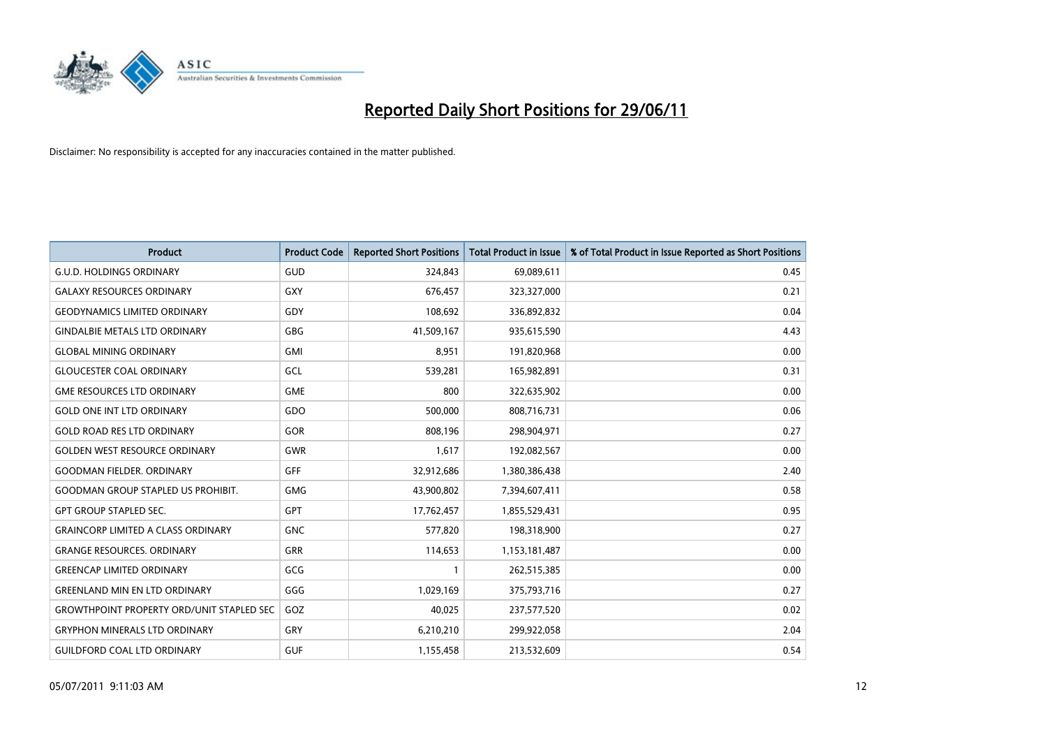

| <b>Product</b>                                   | <b>Product Code</b> | <b>Reported Short Positions</b> | <b>Total Product in Issue</b> | % of Total Product in Issue Reported as Short Positions |
|--------------------------------------------------|---------------------|---------------------------------|-------------------------------|---------------------------------------------------------|
| <b>G.U.D. HOLDINGS ORDINARY</b>                  | GUD                 | 324,843                         | 69,089,611                    | 0.45                                                    |
| <b>GALAXY RESOURCES ORDINARY</b>                 | GXY                 | 676,457                         | 323,327,000                   | 0.21                                                    |
| <b>GEODYNAMICS LIMITED ORDINARY</b>              | <b>GDY</b>          | 108,692                         | 336,892,832                   | 0.04                                                    |
| <b>GINDALBIE METALS LTD ORDINARY</b>             | <b>GBG</b>          | 41,509,167                      | 935,615,590                   | 4.43                                                    |
| <b>GLOBAL MINING ORDINARY</b>                    | <b>GMI</b>          | 8,951                           | 191,820,968                   | 0.00                                                    |
| <b>GLOUCESTER COAL ORDINARY</b>                  | GCL                 | 539,281                         | 165,982,891                   | 0.31                                                    |
| <b>GME RESOURCES LTD ORDINARY</b>                | <b>GME</b>          | 800                             | 322,635,902                   | 0.00                                                    |
| <b>GOLD ONE INT LTD ORDINARY</b>                 | GDO                 | 500,000                         | 808,716,731                   | 0.06                                                    |
| <b>GOLD ROAD RES LTD ORDINARY</b>                | <b>GOR</b>          | 808.196                         | 298,904,971                   | 0.27                                                    |
| <b>GOLDEN WEST RESOURCE ORDINARY</b>             | <b>GWR</b>          | 1,617                           | 192,082,567                   | 0.00                                                    |
| <b>GOODMAN FIELDER. ORDINARY</b>                 | <b>GFF</b>          | 32,912,686                      | 1,380,386,438                 | 2.40                                                    |
| <b>GOODMAN GROUP STAPLED US PROHIBIT.</b>        | <b>GMG</b>          | 43,900,802                      | 7,394,607,411                 | 0.58                                                    |
| GPT GROUP STAPLED SEC.                           | GPT                 | 17,762,457                      | 1,855,529,431                 | 0.95                                                    |
| <b>GRAINCORP LIMITED A CLASS ORDINARY</b>        | <b>GNC</b>          | 577,820                         | 198,318,900                   | 0.27                                                    |
| <b>GRANGE RESOURCES, ORDINARY</b>                | <b>GRR</b>          | 114,653                         | 1,153,181,487                 | 0.00                                                    |
| <b>GREENCAP LIMITED ORDINARY</b>                 | GCG                 | 1                               | 262,515,385                   | 0.00                                                    |
| <b>GREENLAND MIN EN LTD ORDINARY</b>             | GGG                 | 1,029,169                       | 375,793,716                   | 0.27                                                    |
| <b>GROWTHPOINT PROPERTY ORD/UNIT STAPLED SEC</b> | GOZ                 | 40,025                          | 237,577,520                   | 0.02                                                    |
| <b>GRYPHON MINERALS LTD ORDINARY</b>             | GRY                 | 6,210,210                       | 299,922,058                   | 2.04                                                    |
| <b>GUILDFORD COAL LTD ORDINARY</b>               | <b>GUF</b>          | 1,155,458                       | 213,532,609                   | 0.54                                                    |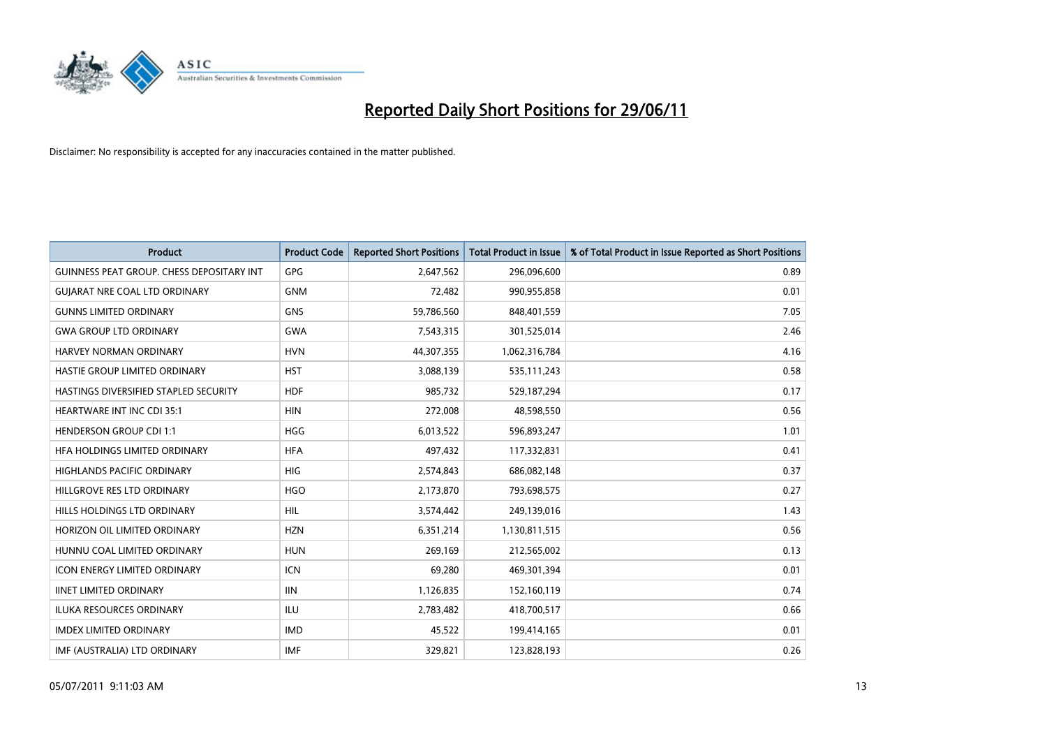

| <b>Product</b>                            | <b>Product Code</b> | <b>Reported Short Positions</b> | <b>Total Product in Issue</b> | % of Total Product in Issue Reported as Short Positions |
|-------------------------------------------|---------------------|---------------------------------|-------------------------------|---------------------------------------------------------|
| GUINNESS PEAT GROUP. CHESS DEPOSITARY INT | GPG                 | 2,647,562                       | 296,096,600                   | 0.89                                                    |
| <b>GUIARAT NRE COAL LTD ORDINARY</b>      | <b>GNM</b>          | 72,482                          | 990,955,858                   | 0.01                                                    |
| <b>GUNNS LIMITED ORDINARY</b>             | <b>GNS</b>          | 59,786,560                      | 848,401,559                   | 7.05                                                    |
| <b>GWA GROUP LTD ORDINARY</b>             | <b>GWA</b>          | 7,543,315                       | 301,525,014                   | 2.46                                                    |
| HARVEY NORMAN ORDINARY                    | <b>HVN</b>          | 44,307,355                      | 1,062,316,784                 | 4.16                                                    |
| HASTIE GROUP LIMITED ORDINARY             | <b>HST</b>          | 3,088,139                       | 535,111,243                   | 0.58                                                    |
| HASTINGS DIVERSIFIED STAPLED SECURITY     | <b>HDF</b>          | 985,732                         | 529,187,294                   | 0.17                                                    |
| HEARTWARE INT INC CDI 35:1                | <b>HIN</b>          | 272,008                         | 48,598,550                    | 0.56                                                    |
| <b>HENDERSON GROUP CDI 1:1</b>            | <b>HGG</b>          | 6,013,522                       | 596,893,247                   | 1.01                                                    |
| HFA HOLDINGS LIMITED ORDINARY             | <b>HFA</b>          | 497,432                         | 117,332,831                   | 0.41                                                    |
| HIGHLANDS PACIFIC ORDINARY                | <b>HIG</b>          | 2,574,843                       | 686,082,148                   | 0.37                                                    |
| HILLGROVE RES LTD ORDINARY                | <b>HGO</b>          | 2,173,870                       | 793,698,575                   | 0.27                                                    |
| HILLS HOLDINGS LTD ORDINARY               | <b>HIL</b>          | 3,574,442                       | 249,139,016                   | 1.43                                                    |
| HORIZON OIL LIMITED ORDINARY              | <b>HZN</b>          | 6,351,214                       | 1,130,811,515                 | 0.56                                                    |
| HUNNU COAL LIMITED ORDINARY               | <b>HUN</b>          | 269,169                         | 212,565,002                   | 0.13                                                    |
| <b>ICON ENERGY LIMITED ORDINARY</b>       | <b>ICN</b>          | 69,280                          | 469,301,394                   | 0.01                                                    |
| <b>IINET LIMITED ORDINARY</b>             | <b>IIN</b>          | 1,126,835                       | 152,160,119                   | 0.74                                                    |
| <b>ILUKA RESOURCES ORDINARY</b>           | ILU                 | 2,783,482                       | 418,700,517                   | 0.66                                                    |
| <b>IMDEX LIMITED ORDINARY</b>             | <b>IMD</b>          | 45,522                          | 199,414,165                   | 0.01                                                    |
| IMF (AUSTRALIA) LTD ORDINARY              | <b>IMF</b>          | 329,821                         | 123,828,193                   | 0.26                                                    |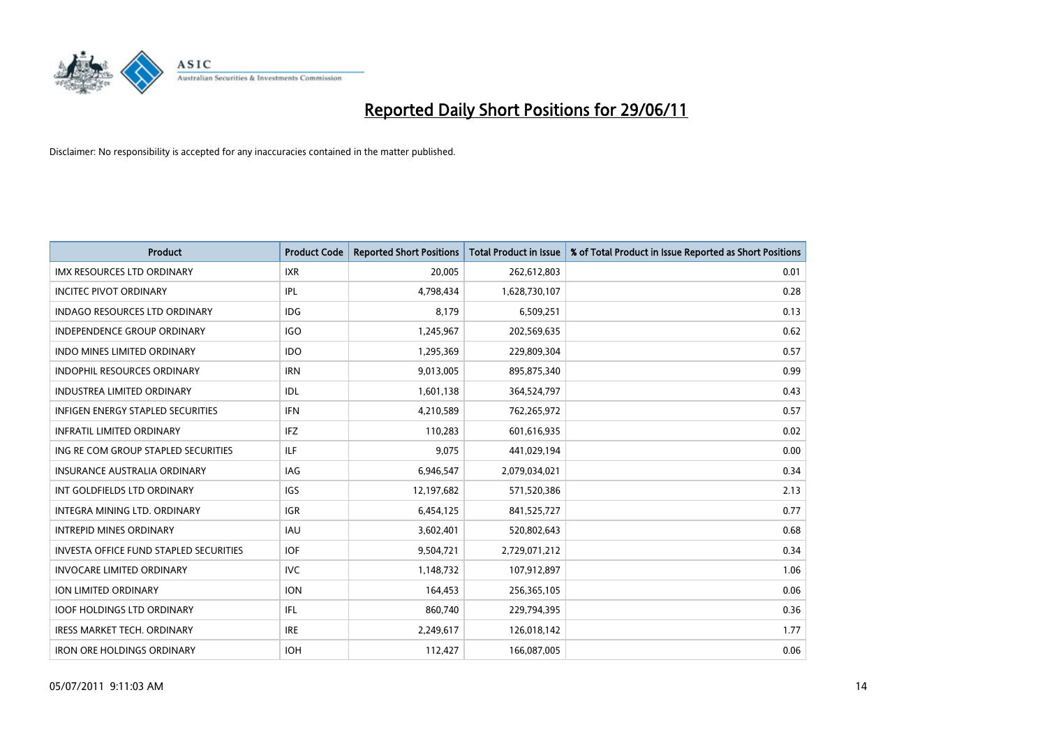

| <b>Product</b>                                | <b>Product Code</b> | <b>Reported Short Positions</b> | <b>Total Product in Issue</b> | % of Total Product in Issue Reported as Short Positions |
|-----------------------------------------------|---------------------|---------------------------------|-------------------------------|---------------------------------------------------------|
| <b>IMX RESOURCES LTD ORDINARY</b>             | <b>IXR</b>          | 20,005                          | 262,612,803                   | 0.01                                                    |
| <b>INCITEC PIVOT ORDINARY</b>                 | IPL                 | 4,798,434                       | 1,628,730,107                 | 0.28                                                    |
| <b>INDAGO RESOURCES LTD ORDINARY</b>          | <b>IDG</b>          | 8,179                           | 6,509,251                     | 0.13                                                    |
| INDEPENDENCE GROUP ORDINARY                   | <b>IGO</b>          | 1,245,967                       | 202,569,635                   | 0.62                                                    |
| <b>INDO MINES LIMITED ORDINARY</b>            | <b>IDO</b>          | 1,295,369                       | 229,809,304                   | 0.57                                                    |
| <b>INDOPHIL RESOURCES ORDINARY</b>            | <b>IRN</b>          | 9,013,005                       | 895,875,340                   | 0.99                                                    |
| <b>INDUSTREA LIMITED ORDINARY</b>             | IDL                 | 1,601,138                       | 364,524,797                   | 0.43                                                    |
| INFIGEN ENERGY STAPLED SECURITIES             | <b>IFN</b>          | 4,210,589                       | 762,265,972                   | 0.57                                                    |
| <b>INFRATIL LIMITED ORDINARY</b>              | IFZ                 | 110,283                         | 601,616,935                   | 0.02                                                    |
| ING RE COM GROUP STAPLED SECURITIES           | ILF.                | 9,075                           | 441,029,194                   | 0.00                                                    |
| INSURANCE AUSTRALIA ORDINARY                  | <b>IAG</b>          | 6,946,547                       | 2,079,034,021                 | 0.34                                                    |
| INT GOLDFIELDS LTD ORDINARY                   | IGS                 | 12,197,682                      | 571,520,386                   | 2.13                                                    |
| INTEGRA MINING LTD. ORDINARY                  | <b>IGR</b>          | 6,454,125                       | 841,525,727                   | 0.77                                                    |
| <b>INTREPID MINES ORDINARY</b>                | <b>IAU</b>          | 3,602,401                       | 520,802,643                   | 0.68                                                    |
| <b>INVESTA OFFICE FUND STAPLED SECURITIES</b> | <b>IOF</b>          | 9,504,721                       | 2,729,071,212                 | 0.34                                                    |
| <b>INVOCARE LIMITED ORDINARY</b>              | <b>IVC</b>          | 1,148,732                       | 107,912,897                   | 1.06                                                    |
| ION LIMITED ORDINARY                          | <b>ION</b>          | 164,453                         | 256,365,105                   | 0.06                                                    |
| <b>IOOF HOLDINGS LTD ORDINARY</b>             | IFL                 | 860,740                         | 229,794,395                   | 0.36                                                    |
| <b>IRESS MARKET TECH. ORDINARY</b>            | <b>IRE</b>          | 2,249,617                       | 126,018,142                   | 1.77                                                    |
| <b>IRON ORE HOLDINGS ORDINARY</b>             | <b>IOH</b>          | 112,427                         | 166,087,005                   | 0.06                                                    |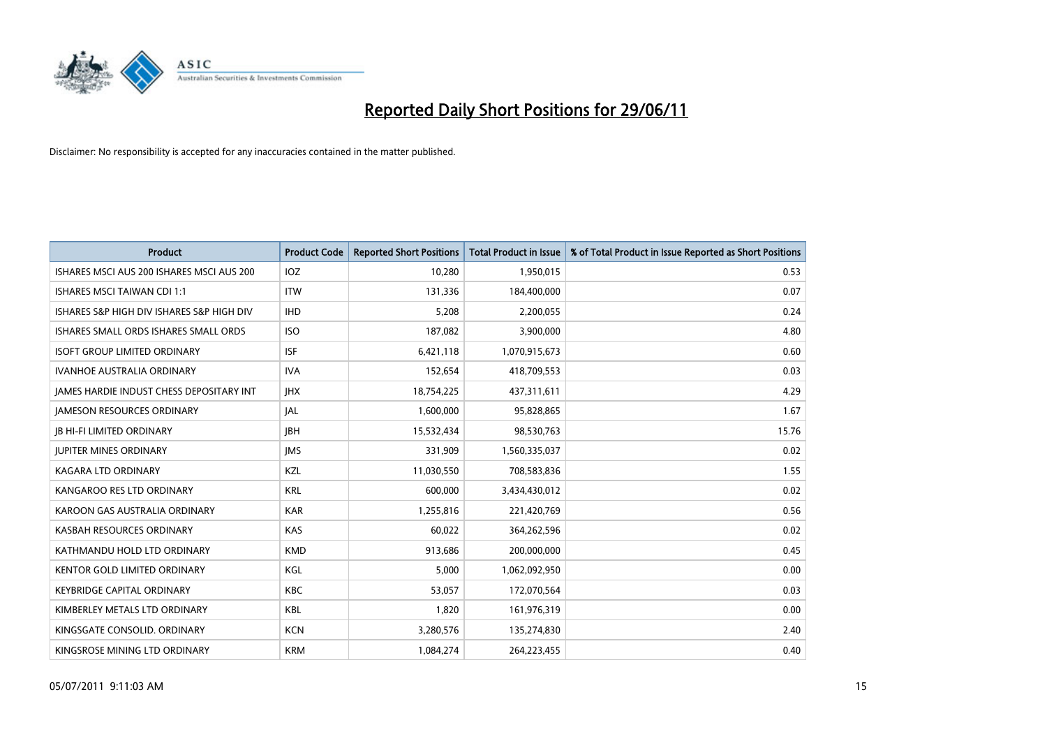

| <b>Product</b>                            | <b>Product Code</b> | <b>Reported Short Positions</b> | <b>Total Product in Issue</b> | % of Total Product in Issue Reported as Short Positions |
|-------------------------------------------|---------------------|---------------------------------|-------------------------------|---------------------------------------------------------|
| ISHARES MSCI AUS 200 ISHARES MSCI AUS 200 | <b>IOZ</b>          | 10,280                          | 1,950,015                     | 0.53                                                    |
| <b>ISHARES MSCI TAIWAN CDI 1:1</b>        | <b>ITW</b>          | 131,336                         | 184,400,000                   | 0.07                                                    |
| ISHARES S&P HIGH DIV ISHARES S&P HIGH DIV | <b>IHD</b>          | 5,208                           | 2,200,055                     | 0.24                                                    |
| ISHARES SMALL ORDS ISHARES SMALL ORDS     | <b>ISO</b>          | 187,082                         | 3,900,000                     | 4.80                                                    |
| <b>ISOFT GROUP LIMITED ORDINARY</b>       | <b>ISF</b>          | 6,421,118                       | 1,070,915,673                 | 0.60                                                    |
| <b>IVANHOE AUSTRALIA ORDINARY</b>         | <b>IVA</b>          | 152,654                         | 418,709,553                   | 0.03                                                    |
| JAMES HARDIE INDUST CHESS DEPOSITARY INT  | <b>IHX</b>          | 18,754,225                      | 437,311,611                   | 4.29                                                    |
| <b>JAMESON RESOURCES ORDINARY</b>         | <b>JAL</b>          | 1,600,000                       | 95,828,865                    | 1.67                                                    |
| <b>JB HI-FI LIMITED ORDINARY</b>          | <b>IBH</b>          | 15,532,434                      | 98,530,763                    | 15.76                                                   |
| <b>JUPITER MINES ORDINARY</b>             | <b>IMS</b>          | 331,909                         | 1,560,335,037                 | 0.02                                                    |
| KAGARA LTD ORDINARY                       | KZL                 | 11,030,550                      | 708,583,836                   | 1.55                                                    |
| KANGAROO RES LTD ORDINARY                 | <b>KRL</b>          | 600,000                         | 3,434,430,012                 | 0.02                                                    |
| KAROON GAS AUSTRALIA ORDINARY             | <b>KAR</b>          | 1,255,816                       | 221,420,769                   | 0.56                                                    |
| KASBAH RESOURCES ORDINARY                 | <b>KAS</b>          | 60,022                          | 364,262,596                   | 0.02                                                    |
| KATHMANDU HOLD LTD ORDINARY               | <b>KMD</b>          | 913,686                         | 200,000,000                   | 0.45                                                    |
| <b>KENTOR GOLD LIMITED ORDINARY</b>       | KGL                 | 5,000                           | 1,062,092,950                 | 0.00                                                    |
| <b>KEYBRIDGE CAPITAL ORDINARY</b>         | <b>KBC</b>          | 53,057                          | 172,070,564                   | 0.03                                                    |
| KIMBERLEY METALS LTD ORDINARY             | <b>KBL</b>          | 1,820                           | 161,976,319                   | 0.00                                                    |
| KINGSGATE CONSOLID. ORDINARY              | <b>KCN</b>          | 3,280,576                       | 135,274,830                   | 2.40                                                    |
| KINGSROSE MINING LTD ORDINARY             | <b>KRM</b>          | 1,084,274                       | 264,223,455                   | 0.40                                                    |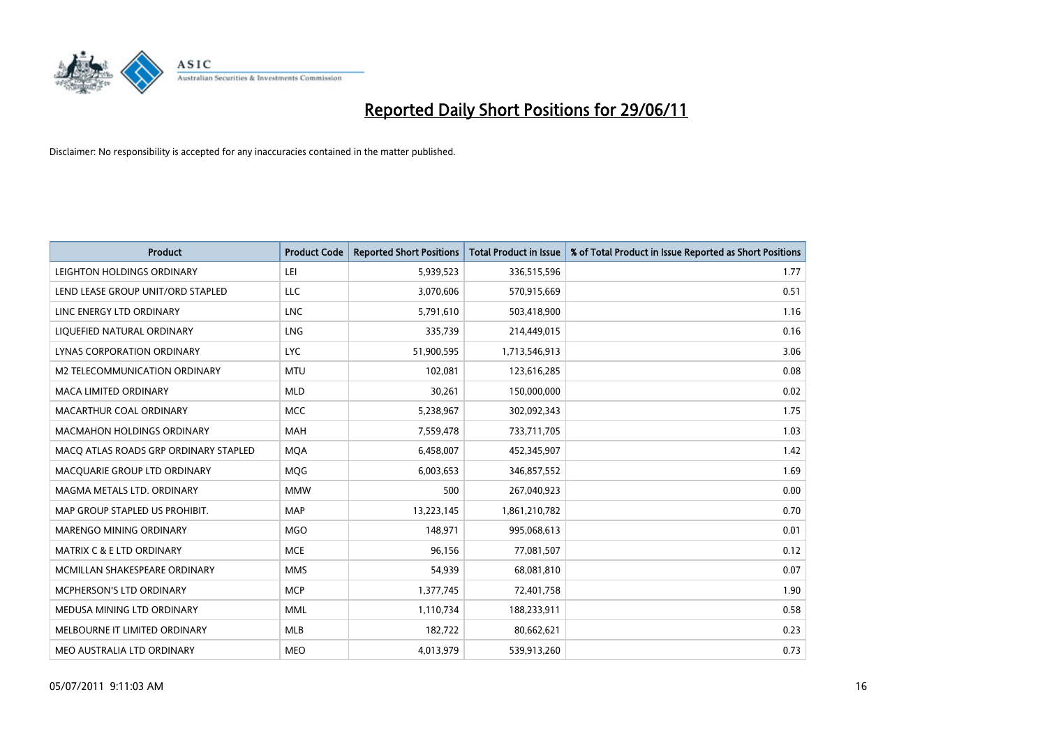

| <b>Product</b>                        | <b>Product Code</b> | <b>Reported Short Positions</b> | <b>Total Product in Issue</b> | % of Total Product in Issue Reported as Short Positions |
|---------------------------------------|---------------------|---------------------------------|-------------------------------|---------------------------------------------------------|
| LEIGHTON HOLDINGS ORDINARY            | LEI                 | 5,939,523                       | 336,515,596                   | 1.77                                                    |
| LEND LEASE GROUP UNIT/ORD STAPLED     | LLC                 | 3,070,606                       | 570,915,669                   | 0.51                                                    |
| LINC ENERGY LTD ORDINARY              | <b>LNC</b>          | 5,791,610                       | 503,418,900                   | 1.16                                                    |
| LIQUEFIED NATURAL ORDINARY            | <b>LNG</b>          | 335,739                         | 214,449,015                   | 0.16                                                    |
| LYNAS CORPORATION ORDINARY            | <b>LYC</b>          | 51,900,595                      | 1,713,546,913                 | 3.06                                                    |
| M2 TELECOMMUNICATION ORDINARY         | <b>MTU</b>          | 102,081                         | 123,616,285                   | 0.08                                                    |
| <b>MACA LIMITED ORDINARY</b>          | <b>MLD</b>          | 30,261                          | 150,000,000                   | 0.02                                                    |
| MACARTHUR COAL ORDINARY               | <b>MCC</b>          | 5,238,967                       | 302,092,343                   | 1.75                                                    |
| MACMAHON HOLDINGS ORDINARY            | MAH                 | 7,559,478                       | 733,711,705                   | 1.03                                                    |
| MACO ATLAS ROADS GRP ORDINARY STAPLED | <b>MOA</b>          | 6,458,007                       | 452,345,907                   | 1.42                                                    |
| MACQUARIE GROUP LTD ORDINARY          | MQG                 | 6,003,653                       | 346,857,552                   | 1.69                                                    |
| MAGMA METALS LTD. ORDINARY            | <b>MMW</b>          | 500                             | 267,040,923                   | 0.00                                                    |
| MAP GROUP STAPLED US PROHIBIT.        | <b>MAP</b>          | 13,223,145                      | 1,861,210,782                 | 0.70                                                    |
| MARENGO MINING ORDINARY               | <b>MGO</b>          | 148,971                         | 995,068,613                   | 0.01                                                    |
| <b>MATRIX C &amp; E LTD ORDINARY</b>  | <b>MCE</b>          | 96,156                          | 77,081,507                    | 0.12                                                    |
| MCMILLAN SHAKESPEARE ORDINARY         | <b>MMS</b>          | 54,939                          | 68,081,810                    | 0.07                                                    |
| <b>MCPHERSON'S LTD ORDINARY</b>       | <b>MCP</b>          | 1,377,745                       | 72,401,758                    | 1.90                                                    |
| MEDUSA MINING LTD ORDINARY            | <b>MML</b>          | 1,110,734                       | 188,233,911                   | 0.58                                                    |
| MELBOURNE IT LIMITED ORDINARY         | <b>MLB</b>          | 182,722                         | 80,662,621                    | 0.23                                                    |
| MEO AUSTRALIA LTD ORDINARY            | <b>MEO</b>          | 4,013,979                       | 539,913,260                   | 0.73                                                    |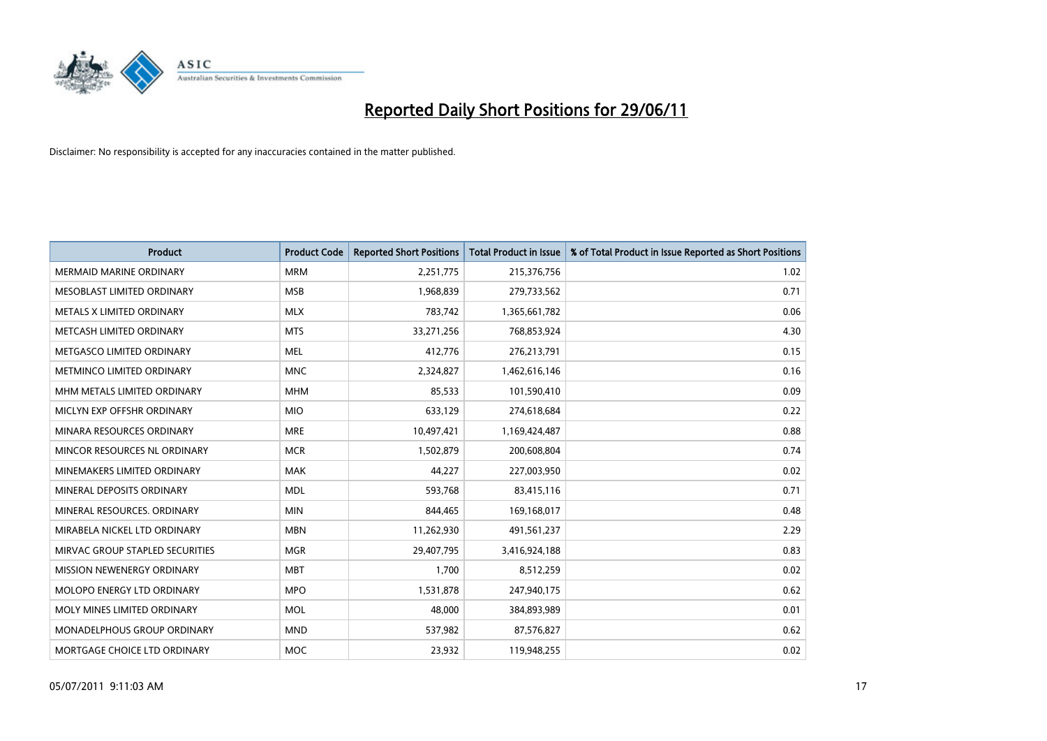

| <b>Product</b>                  | <b>Product Code</b> | <b>Reported Short Positions</b> | <b>Total Product in Issue</b> | % of Total Product in Issue Reported as Short Positions |
|---------------------------------|---------------------|---------------------------------|-------------------------------|---------------------------------------------------------|
| <b>MERMAID MARINE ORDINARY</b>  | <b>MRM</b>          | 2,251,775                       | 215,376,756                   | 1.02                                                    |
| MESOBLAST LIMITED ORDINARY      | <b>MSB</b>          | 1,968,839                       | 279,733,562                   | 0.71                                                    |
| METALS X LIMITED ORDINARY       | <b>MLX</b>          | 783,742                         | 1,365,661,782                 | 0.06                                                    |
| METCASH LIMITED ORDINARY        | <b>MTS</b>          | 33,271,256                      | 768,853,924                   | 4.30                                                    |
| METGASCO LIMITED ORDINARY       | <b>MEL</b>          | 412,776                         | 276,213,791                   | 0.15                                                    |
| METMINCO LIMITED ORDINARY       | <b>MNC</b>          | 2,324,827                       | 1,462,616,146                 | 0.16                                                    |
| MHM METALS LIMITED ORDINARY     | <b>MHM</b>          | 85,533                          | 101,590,410                   | 0.09                                                    |
| MICLYN EXP OFFSHR ORDINARY      | <b>MIO</b>          | 633,129                         | 274,618,684                   | 0.22                                                    |
| MINARA RESOURCES ORDINARY       | <b>MRE</b>          | 10,497,421                      | 1,169,424,487                 | 0.88                                                    |
| MINCOR RESOURCES NL ORDINARY    | <b>MCR</b>          | 1,502,879                       | 200,608,804                   | 0.74                                                    |
| MINEMAKERS LIMITED ORDINARY     | <b>MAK</b>          | 44,227                          | 227,003,950                   | 0.02                                                    |
| MINERAL DEPOSITS ORDINARY       | <b>MDL</b>          | 593,768                         | 83,415,116                    | 0.71                                                    |
| MINERAL RESOURCES, ORDINARY     | <b>MIN</b>          | 844,465                         | 169,168,017                   | 0.48                                                    |
| MIRABELA NICKEL LTD ORDINARY    | <b>MBN</b>          | 11,262,930                      | 491,561,237                   | 2.29                                                    |
| MIRVAC GROUP STAPLED SECURITIES | <b>MGR</b>          | 29,407,795                      | 3,416,924,188                 | 0.83                                                    |
| MISSION NEWENERGY ORDINARY      | <b>MBT</b>          | 1,700                           | 8,512,259                     | 0.02                                                    |
| MOLOPO ENERGY LTD ORDINARY      | <b>MPO</b>          | 1,531,878                       | 247,940,175                   | 0.62                                                    |
| MOLY MINES LIMITED ORDINARY     | <b>MOL</b>          | 48,000                          | 384,893,989                   | 0.01                                                    |
| MONADELPHOUS GROUP ORDINARY     | <b>MND</b>          | 537,982                         | 87,576,827                    | 0.62                                                    |
| MORTGAGE CHOICE LTD ORDINARY    | <b>MOC</b>          | 23,932                          | 119,948,255                   | 0.02                                                    |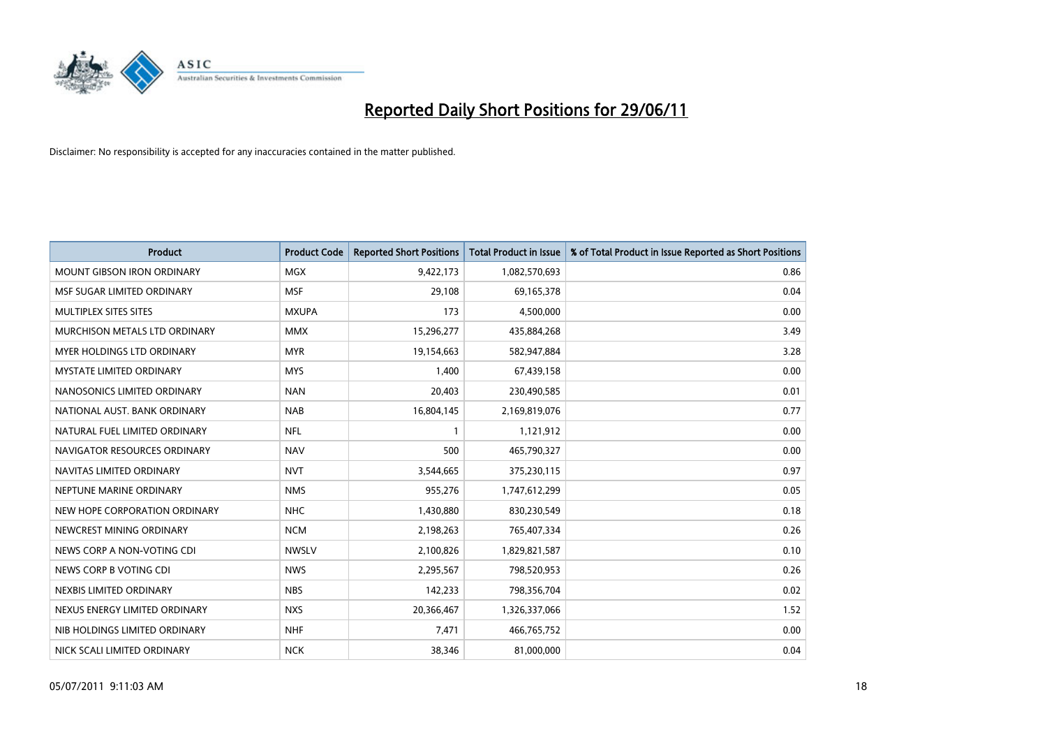

| <b>Product</b>                    | <b>Product Code</b> | <b>Reported Short Positions</b> | <b>Total Product in Issue</b> | % of Total Product in Issue Reported as Short Positions |
|-----------------------------------|---------------------|---------------------------------|-------------------------------|---------------------------------------------------------|
| <b>MOUNT GIBSON IRON ORDINARY</b> | <b>MGX</b>          | 9,422,173                       | 1,082,570,693                 | 0.86                                                    |
| MSF SUGAR LIMITED ORDINARY        | <b>MSF</b>          | 29,108                          | 69,165,378                    | 0.04                                                    |
| MULTIPLEX SITES SITES             | <b>MXUPA</b>        | 173                             | 4,500,000                     | 0.00                                                    |
| MURCHISON METALS LTD ORDINARY     | <b>MMX</b>          | 15,296,277                      | 435,884,268                   | 3.49                                                    |
| MYER HOLDINGS LTD ORDINARY        | <b>MYR</b>          | 19,154,663                      | 582,947,884                   | 3.28                                                    |
| <b>MYSTATE LIMITED ORDINARY</b>   | <b>MYS</b>          | 1,400                           | 67,439,158                    | 0.00                                                    |
| NANOSONICS LIMITED ORDINARY       | <b>NAN</b>          | 20,403                          | 230,490,585                   | 0.01                                                    |
| NATIONAL AUST. BANK ORDINARY      | <b>NAB</b>          | 16,804,145                      | 2,169,819,076                 | 0.77                                                    |
| NATURAL FUEL LIMITED ORDINARY     | <b>NFL</b>          | 1                               | 1,121,912                     | 0.00                                                    |
| NAVIGATOR RESOURCES ORDINARY      | <b>NAV</b>          | 500                             | 465,790,327                   | 0.00                                                    |
| NAVITAS LIMITED ORDINARY          | <b>NVT</b>          | 3,544,665                       | 375,230,115                   | 0.97                                                    |
| NEPTUNE MARINE ORDINARY           | <b>NMS</b>          | 955,276                         | 1,747,612,299                 | 0.05                                                    |
| NEW HOPE CORPORATION ORDINARY     | <b>NHC</b>          | 1,430,880                       | 830,230,549                   | 0.18                                                    |
| NEWCREST MINING ORDINARY          | <b>NCM</b>          | 2,198,263                       | 765,407,334                   | 0.26                                                    |
| NEWS CORP A NON-VOTING CDI        | <b>NWSLV</b>        | 2,100,826                       | 1,829,821,587                 | 0.10                                                    |
| NEWS CORP B VOTING CDI            | <b>NWS</b>          | 2,295,567                       | 798,520,953                   | 0.26                                                    |
| NEXBIS LIMITED ORDINARY           | <b>NBS</b>          | 142,233                         | 798,356,704                   | 0.02                                                    |
| NEXUS ENERGY LIMITED ORDINARY     | <b>NXS</b>          | 20,366,467                      | 1,326,337,066                 | 1.52                                                    |
| NIB HOLDINGS LIMITED ORDINARY     | <b>NHF</b>          | 7,471                           | 466,765,752                   | 0.00                                                    |
| NICK SCALI LIMITED ORDINARY       | <b>NCK</b>          | 38,346                          | 81,000,000                    | 0.04                                                    |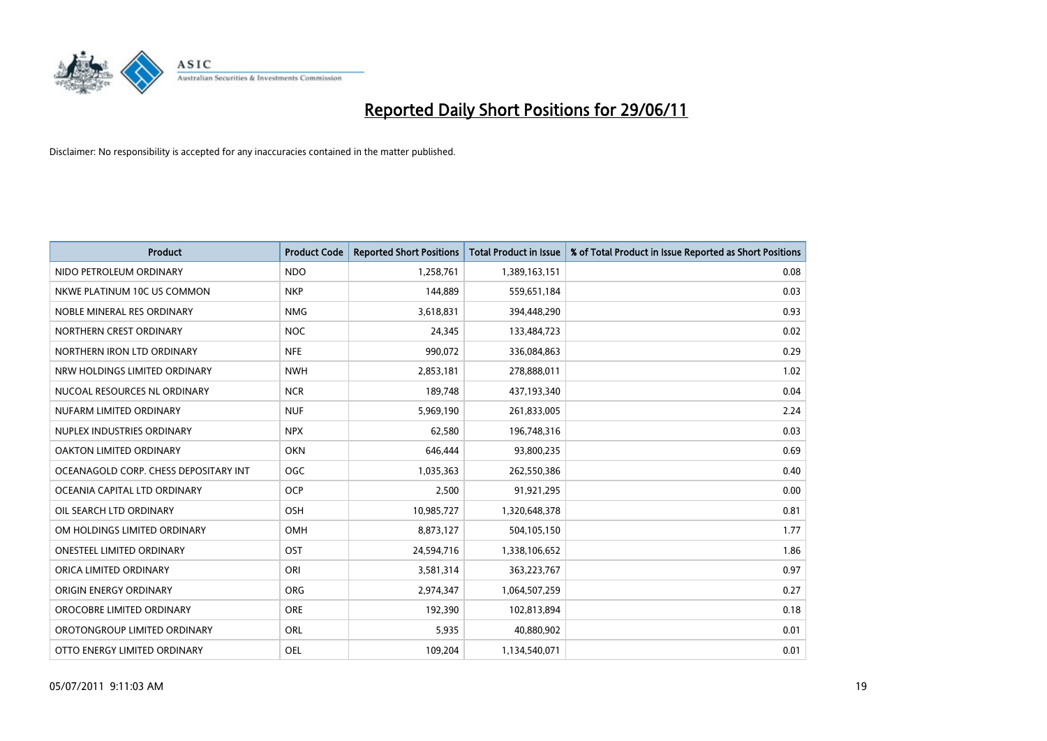

| <b>Product</b>                        | <b>Product Code</b> | <b>Reported Short Positions</b> | <b>Total Product in Issue</b> | % of Total Product in Issue Reported as Short Positions |
|---------------------------------------|---------------------|---------------------------------|-------------------------------|---------------------------------------------------------|
| NIDO PETROLEUM ORDINARY               | <b>NDO</b>          | 1,258,761                       | 1,389,163,151                 | 0.08                                                    |
| NKWE PLATINUM 10C US COMMON           | <b>NKP</b>          | 144,889                         | 559,651,184                   | 0.03                                                    |
| NOBLE MINERAL RES ORDINARY            | <b>NMG</b>          | 3,618,831                       | 394,448,290                   | 0.93                                                    |
| NORTHERN CREST ORDINARY               | <b>NOC</b>          | 24,345                          | 133,484,723                   | 0.02                                                    |
| NORTHERN IRON LTD ORDINARY            | <b>NFE</b>          | 990,072                         | 336,084,863                   | 0.29                                                    |
| NRW HOLDINGS LIMITED ORDINARY         | <b>NWH</b>          | 2,853,181                       | 278,888,011                   | 1.02                                                    |
| NUCOAL RESOURCES NL ORDINARY          | <b>NCR</b>          | 189,748                         | 437,193,340                   | 0.04                                                    |
| NUFARM LIMITED ORDINARY               | <b>NUF</b>          | 5,969,190                       | 261,833,005                   | 2.24                                                    |
| NUPLEX INDUSTRIES ORDINARY            | <b>NPX</b>          | 62,580                          | 196,748,316                   | 0.03                                                    |
| OAKTON LIMITED ORDINARY               | <b>OKN</b>          | 646,444                         | 93,800,235                    | 0.69                                                    |
| OCEANAGOLD CORP. CHESS DEPOSITARY INT | <b>OGC</b>          | 1,035,363                       | 262,550,386                   | 0.40                                                    |
| OCEANIA CAPITAL LTD ORDINARY          | <b>OCP</b>          | 2,500                           | 91,921,295                    | 0.00                                                    |
| OIL SEARCH LTD ORDINARY               | OSH                 | 10,985,727                      | 1,320,648,378                 | 0.81                                                    |
| OM HOLDINGS LIMITED ORDINARY          | OMH                 | 8,873,127                       | 504,105,150                   | 1.77                                                    |
| <b>ONESTEEL LIMITED ORDINARY</b>      | OST                 | 24,594,716                      | 1,338,106,652                 | 1.86                                                    |
| ORICA LIMITED ORDINARY                | ORI                 | 3,581,314                       | 363,223,767                   | 0.97                                                    |
| ORIGIN ENERGY ORDINARY                | <b>ORG</b>          | 2,974,347                       | 1,064,507,259                 | 0.27                                                    |
| OROCOBRE LIMITED ORDINARY             | <b>ORE</b>          | 192,390                         | 102,813,894                   | 0.18                                                    |
| OROTONGROUP LIMITED ORDINARY          | ORL                 | 5,935                           | 40,880,902                    | 0.01                                                    |
| OTTO ENERGY LIMITED ORDINARY          | <b>OEL</b>          | 109,204                         | 1,134,540,071                 | 0.01                                                    |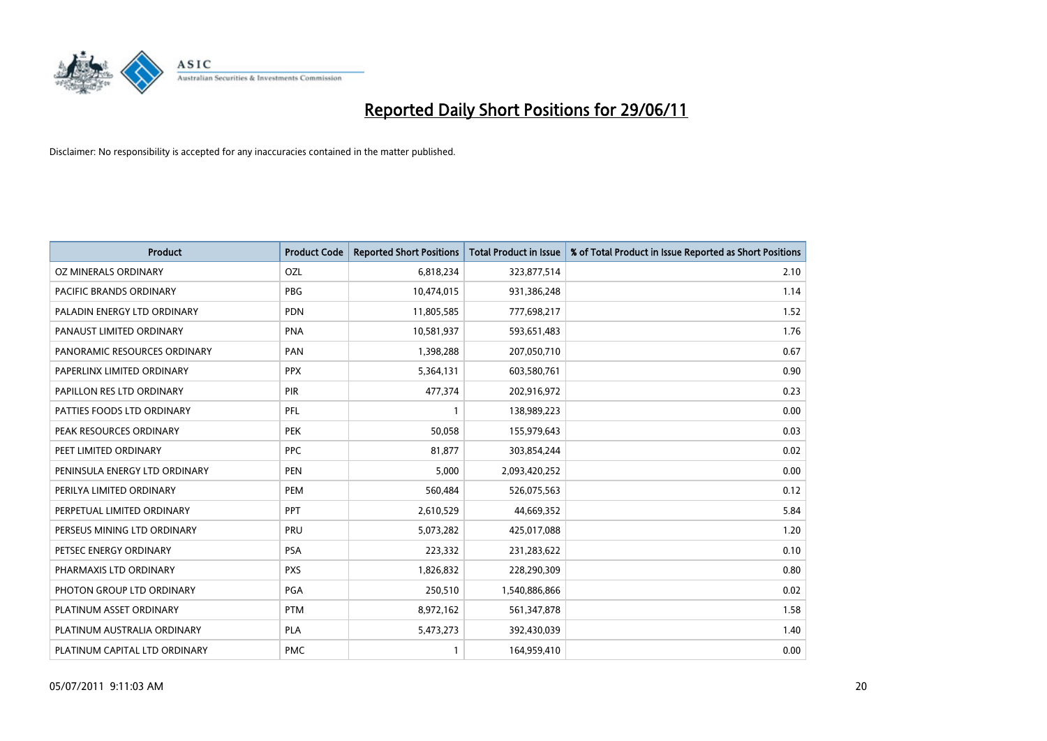

| <b>Product</b>                | <b>Product Code</b> | <b>Reported Short Positions</b> | <b>Total Product in Issue</b> | % of Total Product in Issue Reported as Short Positions |
|-------------------------------|---------------------|---------------------------------|-------------------------------|---------------------------------------------------------|
| OZ MINERALS ORDINARY          | OZL                 | 6,818,234                       | 323,877,514                   | 2.10                                                    |
| PACIFIC BRANDS ORDINARY       | <b>PBG</b>          | 10,474,015                      | 931,386,248                   | 1.14                                                    |
| PALADIN ENERGY LTD ORDINARY   | <b>PDN</b>          | 11,805,585                      | 777,698,217                   | 1.52                                                    |
| PANAUST LIMITED ORDINARY      | <b>PNA</b>          | 10,581,937                      | 593,651,483                   | 1.76                                                    |
| PANORAMIC RESOURCES ORDINARY  | PAN                 | 1,398,288                       | 207,050,710                   | 0.67                                                    |
| PAPERLINX LIMITED ORDINARY    | <b>PPX</b>          | 5,364,131                       | 603,580,761                   | 0.90                                                    |
| PAPILLON RES LTD ORDINARY     | <b>PIR</b>          | 477,374                         | 202,916,972                   | 0.23                                                    |
| PATTIES FOODS LTD ORDINARY    | PFL                 | $\mathbf{1}$                    | 138,989,223                   | 0.00                                                    |
| PEAK RESOURCES ORDINARY       | <b>PEK</b>          | 50,058                          | 155,979,643                   | 0.03                                                    |
| PEET LIMITED ORDINARY         | <b>PPC</b>          | 81,877                          | 303,854,244                   | 0.02                                                    |
| PENINSULA ENERGY LTD ORDINARY | <b>PEN</b>          | 5,000                           | 2,093,420,252                 | 0.00                                                    |
| PERILYA LIMITED ORDINARY      | <b>PEM</b>          | 560,484                         | 526,075,563                   | 0.12                                                    |
| PERPETUAL LIMITED ORDINARY    | PPT                 | 2,610,529                       | 44,669,352                    | 5.84                                                    |
| PERSEUS MINING LTD ORDINARY   | PRU                 | 5,073,282                       | 425,017,088                   | 1.20                                                    |
| PETSEC ENERGY ORDINARY        | <b>PSA</b>          | 223,332                         | 231,283,622                   | 0.10                                                    |
| PHARMAXIS LTD ORDINARY        | <b>PXS</b>          | 1,826,832                       | 228,290,309                   | 0.80                                                    |
| PHOTON GROUP LTD ORDINARY     | PGA                 | 250,510                         | 1,540,886,866                 | 0.02                                                    |
| PLATINUM ASSET ORDINARY       | <b>PTM</b>          | 8,972,162                       | 561,347,878                   | 1.58                                                    |
| PLATINUM AUSTRALIA ORDINARY   | <b>PLA</b>          | 5,473,273                       | 392,430,039                   | 1.40                                                    |
| PLATINUM CAPITAL LTD ORDINARY | <b>PMC</b>          |                                 | 164,959,410                   | 0.00                                                    |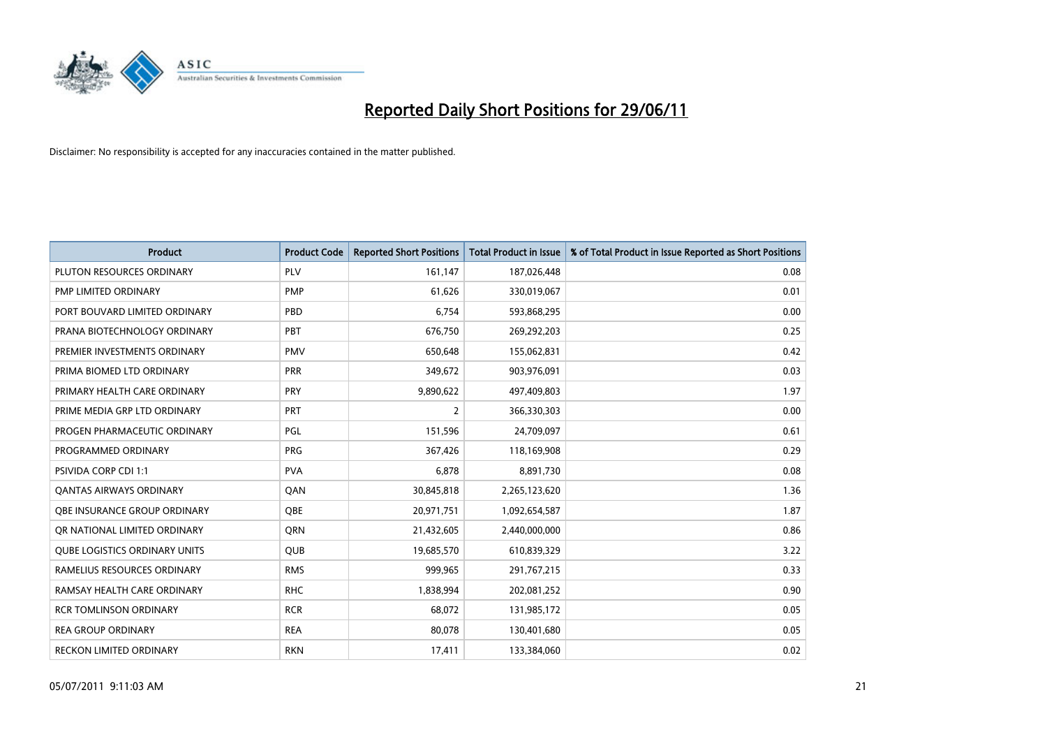

| <b>Product</b>                       | <b>Product Code</b> | <b>Reported Short Positions</b> | <b>Total Product in Issue</b> | % of Total Product in Issue Reported as Short Positions |
|--------------------------------------|---------------------|---------------------------------|-------------------------------|---------------------------------------------------------|
| PLUTON RESOURCES ORDINARY            | PLV                 | 161,147                         | 187,026,448                   | 0.08                                                    |
| PMP LIMITED ORDINARY                 | <b>PMP</b>          | 61,626                          | 330,019,067                   | 0.01                                                    |
| PORT BOUVARD LIMITED ORDINARY        | PBD                 | 6,754                           | 593,868,295                   | 0.00                                                    |
| PRANA BIOTECHNOLOGY ORDINARY         | PBT                 | 676,750                         | 269,292,203                   | 0.25                                                    |
| PREMIER INVESTMENTS ORDINARY         | PMV                 | 650,648                         | 155,062,831                   | 0.42                                                    |
| PRIMA BIOMED LTD ORDINARY            | <b>PRR</b>          | 349,672                         | 903,976,091                   | 0.03                                                    |
| PRIMARY HEALTH CARE ORDINARY         | <b>PRY</b>          | 9,890,622                       | 497,409,803                   | 1.97                                                    |
| PRIME MEDIA GRP LTD ORDINARY         | <b>PRT</b>          | $\overline{2}$                  | 366,330,303                   | 0.00                                                    |
| PROGEN PHARMACEUTIC ORDINARY         | PGL                 | 151,596                         | 24,709,097                    | 0.61                                                    |
| PROGRAMMED ORDINARY                  | PRG                 | 367,426                         | 118,169,908                   | 0.29                                                    |
| PSIVIDA CORP CDI 1:1                 | <b>PVA</b>          | 6,878                           | 8,891,730                     | 0.08                                                    |
| <b>OANTAS AIRWAYS ORDINARY</b>       | QAN                 | 30,845,818                      | 2,265,123,620                 | 1.36                                                    |
| OBE INSURANCE GROUP ORDINARY         | <b>OBE</b>          | 20,971,751                      | 1,092,654,587                 | 1.87                                                    |
| OR NATIONAL LIMITED ORDINARY         | QRN                 | 21,432,605                      | 2,440,000,000                 | 0.86                                                    |
| <b>QUBE LOGISTICS ORDINARY UNITS</b> | QUB                 | 19,685,570                      | 610,839,329                   | 3.22                                                    |
| RAMELIUS RESOURCES ORDINARY          | <b>RMS</b>          | 999,965                         | 291,767,215                   | 0.33                                                    |
| RAMSAY HEALTH CARE ORDINARY          | <b>RHC</b>          | 1,838,994                       | 202,081,252                   | 0.90                                                    |
| <b>RCR TOMLINSON ORDINARY</b>        | <b>RCR</b>          | 68,072                          | 131,985,172                   | 0.05                                                    |
| <b>REA GROUP ORDINARY</b>            | <b>REA</b>          | 80,078                          | 130,401,680                   | 0.05                                                    |
| RECKON LIMITED ORDINARY              | <b>RKN</b>          | 17,411                          | 133,384,060                   | 0.02                                                    |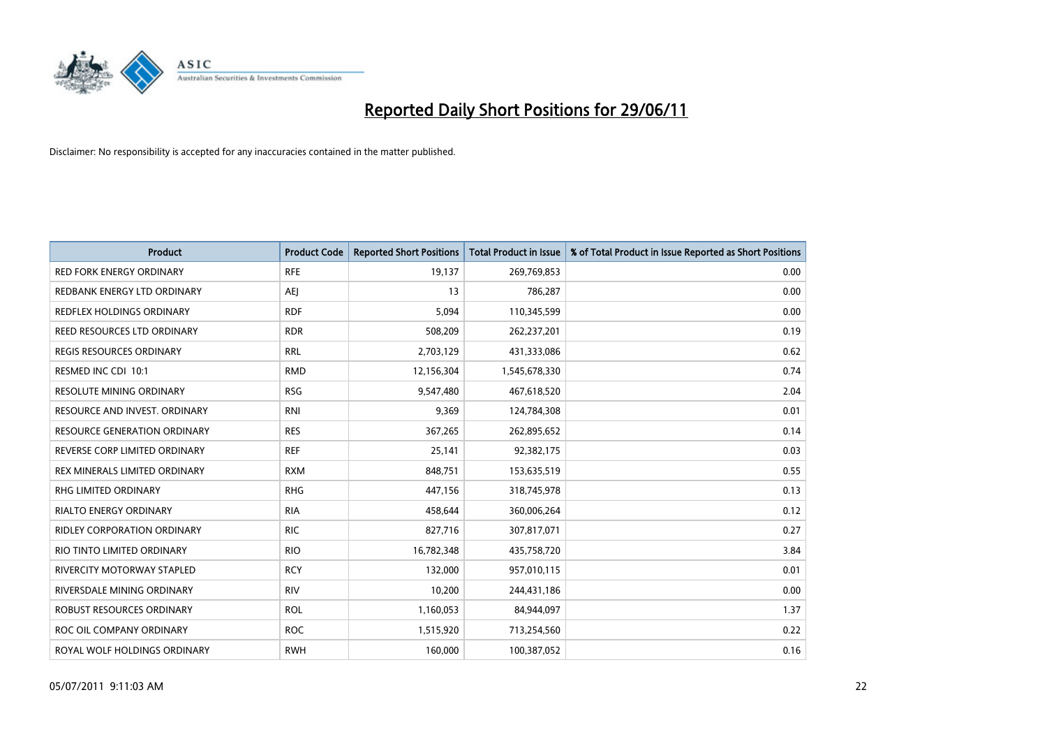

| <b>Product</b>                      | <b>Product Code</b> | <b>Reported Short Positions</b> | <b>Total Product in Issue</b> | % of Total Product in Issue Reported as Short Positions |
|-------------------------------------|---------------------|---------------------------------|-------------------------------|---------------------------------------------------------|
| <b>RED FORK ENERGY ORDINARY</b>     | <b>RFE</b>          | 19,137                          | 269,769,853                   | 0.00                                                    |
| REDBANK ENERGY LTD ORDINARY         | AEJ                 | 13                              | 786,287                       | 0.00                                                    |
| REDFLEX HOLDINGS ORDINARY           | <b>RDF</b>          | 5,094                           | 110,345,599                   | 0.00                                                    |
| REED RESOURCES LTD ORDINARY         | <b>RDR</b>          | 508,209                         | 262,237,201                   | 0.19                                                    |
| <b>REGIS RESOURCES ORDINARY</b>     | <b>RRL</b>          | 2,703,129                       | 431,333,086                   | 0.62                                                    |
| RESMED INC CDI 10:1                 | <b>RMD</b>          | 12,156,304                      | 1,545,678,330                 | 0.74                                                    |
| <b>RESOLUTE MINING ORDINARY</b>     | <b>RSG</b>          | 9,547,480                       | 467,618,520                   | 2.04                                                    |
| RESOURCE AND INVEST. ORDINARY       | <b>RNI</b>          | 9,369                           | 124,784,308                   | 0.01                                                    |
| <b>RESOURCE GENERATION ORDINARY</b> | <b>RES</b>          | 367,265                         | 262,895,652                   | 0.14                                                    |
| REVERSE CORP LIMITED ORDINARY       | <b>REF</b>          | 25,141                          | 92,382,175                    | 0.03                                                    |
| REX MINERALS LIMITED ORDINARY       | <b>RXM</b>          | 848,751                         | 153,635,519                   | 0.55                                                    |
| <b>RHG LIMITED ORDINARY</b>         | <b>RHG</b>          | 447,156                         | 318,745,978                   | 0.13                                                    |
| RIALTO ENERGY ORDINARY              | <b>RIA</b>          | 458,644                         | 360,006,264                   | 0.12                                                    |
| <b>RIDLEY CORPORATION ORDINARY</b>  | <b>RIC</b>          | 827,716                         | 307,817,071                   | 0.27                                                    |
| RIO TINTO LIMITED ORDINARY          | <b>RIO</b>          | 16,782,348                      | 435,758,720                   | 3.84                                                    |
| RIVERCITY MOTORWAY STAPLED          | <b>RCY</b>          | 132,000                         | 957,010,115                   | 0.01                                                    |
| RIVERSDALE MINING ORDINARY          | <b>RIV</b>          | 10,200                          | 244,431,186                   | 0.00                                                    |
| ROBUST RESOURCES ORDINARY           | <b>ROL</b>          | 1,160,053                       | 84,944,097                    | 1.37                                                    |
| ROC OIL COMPANY ORDINARY            | <b>ROC</b>          | 1,515,920                       | 713,254,560                   | 0.22                                                    |
| ROYAL WOLF HOLDINGS ORDINARY        | <b>RWH</b>          | 160,000                         | 100,387,052                   | 0.16                                                    |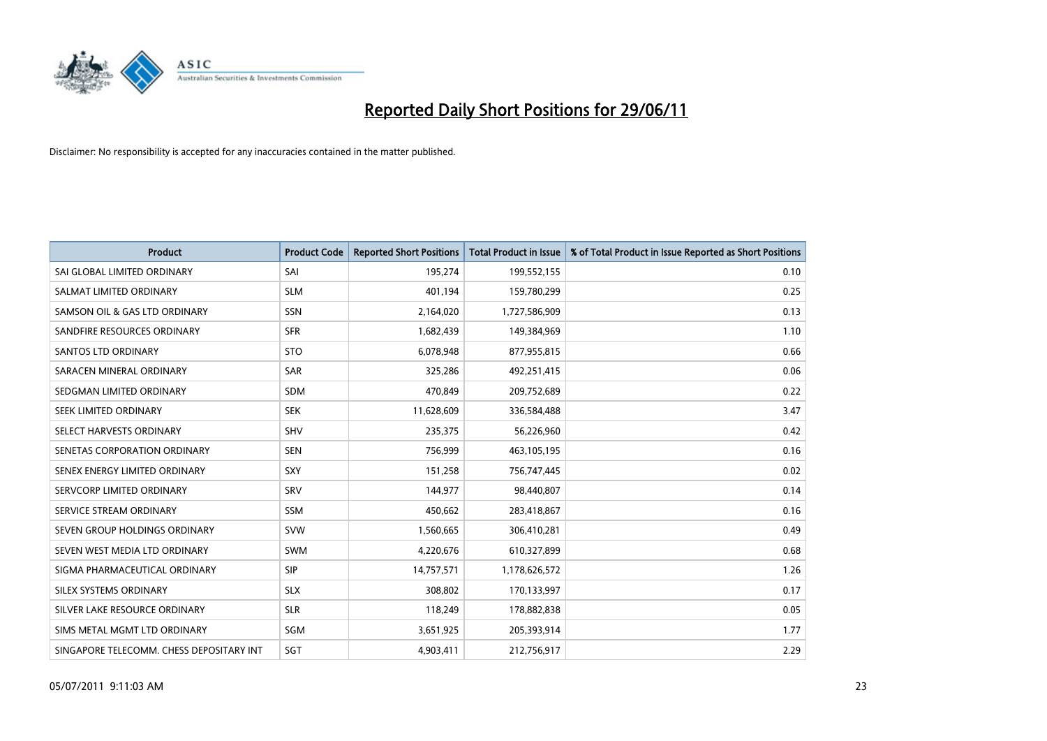

| <b>Product</b>                           | <b>Product Code</b> | <b>Reported Short Positions</b> | <b>Total Product in Issue</b> | % of Total Product in Issue Reported as Short Positions |
|------------------------------------------|---------------------|---------------------------------|-------------------------------|---------------------------------------------------------|
| SAI GLOBAL LIMITED ORDINARY              | SAI                 | 195,274                         | 199,552,155                   | 0.10                                                    |
| SALMAT LIMITED ORDINARY                  | <b>SLM</b>          | 401,194                         | 159,780,299                   | 0.25                                                    |
| SAMSON OIL & GAS LTD ORDINARY            | <b>SSN</b>          | 2,164,020                       | 1,727,586,909                 | 0.13                                                    |
| SANDFIRE RESOURCES ORDINARY              | <b>SFR</b>          | 1,682,439                       | 149,384,969                   | 1.10                                                    |
| SANTOS LTD ORDINARY                      | <b>STO</b>          | 6,078,948                       | 877,955,815                   | 0.66                                                    |
| SARACEN MINERAL ORDINARY                 | SAR                 | 325,286                         | 492,251,415                   | 0.06                                                    |
| SEDGMAN LIMITED ORDINARY                 | SDM                 | 470,849                         | 209,752,689                   | 0.22                                                    |
| SEEK LIMITED ORDINARY                    | <b>SEK</b>          | 11,628,609                      | 336,584,488                   | 3.47                                                    |
| SELECT HARVESTS ORDINARY                 | SHV                 | 235,375                         | 56,226,960                    | 0.42                                                    |
| SENETAS CORPORATION ORDINARY             | <b>SEN</b>          | 756,999                         | 463,105,195                   | 0.16                                                    |
| SENEX ENERGY LIMITED ORDINARY            | <b>SXY</b>          | 151,258                         | 756,747,445                   | 0.02                                                    |
| SERVCORP LIMITED ORDINARY                | SRV                 | 144,977                         | 98,440,807                    | 0.14                                                    |
| SERVICE STREAM ORDINARY                  | SSM                 | 450,662                         | 283,418,867                   | 0.16                                                    |
| SEVEN GROUP HOLDINGS ORDINARY            | <b>SVW</b>          | 1,560,665                       | 306,410,281                   | 0.49                                                    |
| SEVEN WEST MEDIA LTD ORDINARY            | <b>SWM</b>          | 4,220,676                       | 610,327,899                   | 0.68                                                    |
| SIGMA PHARMACEUTICAL ORDINARY            | <b>SIP</b>          | 14,757,571                      | 1,178,626,572                 | 1.26                                                    |
| SILEX SYSTEMS ORDINARY                   | <b>SLX</b>          | 308,802                         | 170,133,997                   | 0.17                                                    |
| SILVER LAKE RESOURCE ORDINARY            | <b>SLR</b>          | 118,249                         | 178,882,838                   | 0.05                                                    |
| SIMS METAL MGMT LTD ORDINARY             | SGM                 | 3,651,925                       | 205,393,914                   | 1.77                                                    |
| SINGAPORE TELECOMM. CHESS DEPOSITARY INT | SGT                 | 4,903,411                       | 212,756,917                   | 2.29                                                    |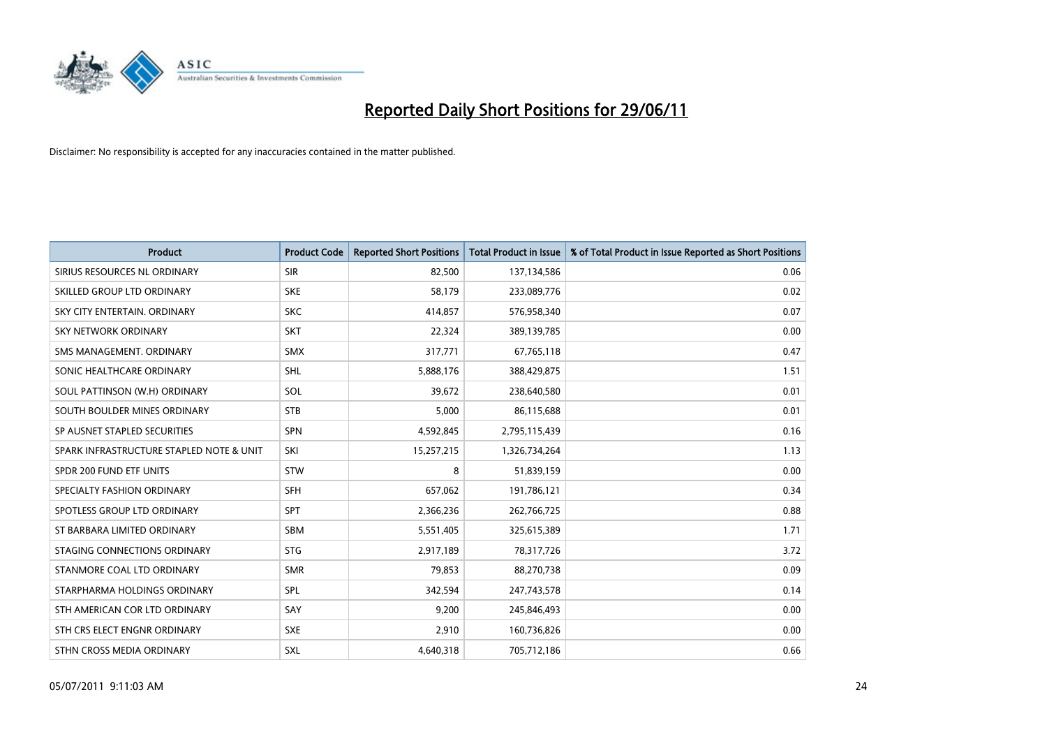

| <b>Product</b>                           | <b>Product Code</b> | <b>Reported Short Positions</b> | <b>Total Product in Issue</b> | % of Total Product in Issue Reported as Short Positions |
|------------------------------------------|---------------------|---------------------------------|-------------------------------|---------------------------------------------------------|
| SIRIUS RESOURCES NL ORDINARY             | <b>SIR</b>          | 82,500                          | 137,134,586                   | 0.06                                                    |
| SKILLED GROUP LTD ORDINARY               | <b>SKE</b>          | 58,179                          | 233,089,776                   | 0.02                                                    |
| SKY CITY ENTERTAIN, ORDINARY             | <b>SKC</b>          | 414,857                         | 576,958,340                   | 0.07                                                    |
| SKY NETWORK ORDINARY                     | <b>SKT</b>          | 22,324                          | 389,139,785                   | 0.00                                                    |
| SMS MANAGEMENT, ORDINARY                 | <b>SMX</b>          | 317,771                         | 67,765,118                    | 0.47                                                    |
| SONIC HEALTHCARE ORDINARY                | <b>SHL</b>          | 5,888,176                       | 388,429,875                   | 1.51                                                    |
| SOUL PATTINSON (W.H) ORDINARY            | SOL                 | 39,672                          | 238,640,580                   | 0.01                                                    |
| SOUTH BOULDER MINES ORDINARY             | <b>STB</b>          | 5,000                           | 86,115,688                    | 0.01                                                    |
| SP AUSNET STAPLED SECURITIES             | <b>SPN</b>          | 4,592,845                       | 2,795,115,439                 | 0.16                                                    |
| SPARK INFRASTRUCTURE STAPLED NOTE & UNIT | SKI                 | 15,257,215                      | 1,326,734,264                 | 1.13                                                    |
| SPDR 200 FUND ETF UNITS                  | <b>STW</b>          | 8                               | 51,839,159                    | 0.00                                                    |
| SPECIALTY FASHION ORDINARY               | <b>SFH</b>          | 657,062                         | 191,786,121                   | 0.34                                                    |
| SPOTLESS GROUP LTD ORDINARY              | <b>SPT</b>          | 2,366,236                       | 262,766,725                   | 0.88                                                    |
| ST BARBARA LIMITED ORDINARY              | <b>SBM</b>          | 5,551,405                       | 325,615,389                   | 1.71                                                    |
| STAGING CONNECTIONS ORDINARY             | <b>STG</b>          | 2,917,189                       | 78,317,726                    | 3.72                                                    |
| STANMORE COAL LTD ORDINARY               | <b>SMR</b>          | 79,853                          | 88,270,738                    | 0.09                                                    |
| STARPHARMA HOLDINGS ORDINARY             | <b>SPL</b>          | 342,594                         | 247,743,578                   | 0.14                                                    |
| STH AMERICAN COR LTD ORDINARY            | SAY                 | 9,200                           | 245,846,493                   | 0.00                                                    |
| STH CRS ELECT ENGNR ORDINARY             | <b>SXE</b>          | 2,910                           | 160,736,826                   | 0.00                                                    |
| STHN CROSS MEDIA ORDINARY                | <b>SXL</b>          | 4,640,318                       | 705,712,186                   | 0.66                                                    |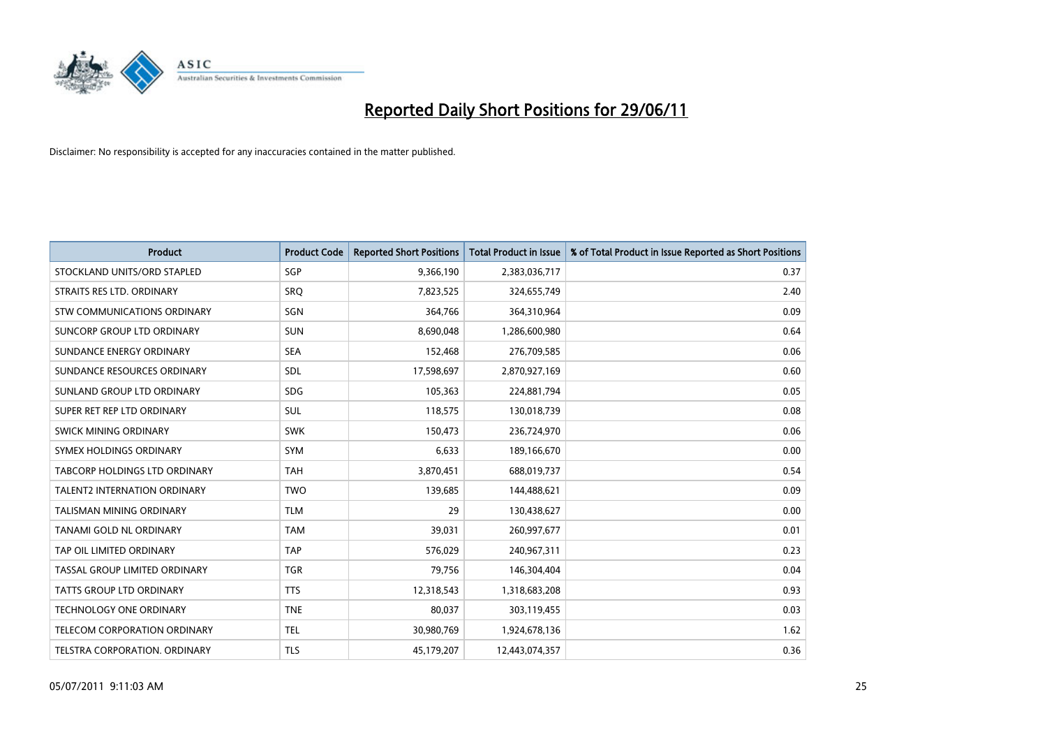

| <b>Product</b>                       | <b>Product Code</b> | <b>Reported Short Positions</b> | <b>Total Product in Issue</b> | % of Total Product in Issue Reported as Short Positions |
|--------------------------------------|---------------------|---------------------------------|-------------------------------|---------------------------------------------------------|
| STOCKLAND UNITS/ORD STAPLED          | SGP                 | 9,366,190                       | 2,383,036,717                 | 0.37                                                    |
| STRAITS RES LTD. ORDINARY            | <b>SRQ</b>          | 7,823,525                       | 324,655,749                   | 2.40                                                    |
| <b>STW COMMUNICATIONS ORDINARY</b>   | SGN                 | 364,766                         | 364,310,964                   | 0.09                                                    |
| SUNCORP GROUP LTD ORDINARY           | <b>SUN</b>          | 8,690,048                       | 1,286,600,980                 | 0.64                                                    |
| SUNDANCE ENERGY ORDINARY             | <b>SEA</b>          | 152,468                         | 276,709,585                   | 0.06                                                    |
| SUNDANCE RESOURCES ORDINARY          | SDL                 | 17,598,697                      | 2,870,927,169                 | 0.60                                                    |
| SUNLAND GROUP LTD ORDINARY           | <b>SDG</b>          | 105,363                         | 224,881,794                   | 0.05                                                    |
| SUPER RET REP LTD ORDINARY           | SUL                 | 118,575                         | 130,018,739                   | 0.08                                                    |
| SWICK MINING ORDINARY                | <b>SWK</b>          | 150,473                         | 236,724,970                   | 0.06                                                    |
| SYMEX HOLDINGS ORDINARY              | <b>SYM</b>          | 6,633                           | 189,166,670                   | 0.00                                                    |
| TABCORP HOLDINGS LTD ORDINARY        | <b>TAH</b>          | 3,870,451                       | 688,019,737                   | 0.54                                                    |
| <b>TALENT2 INTERNATION ORDINARY</b>  | <b>TWO</b>          | 139,685                         | 144,488,621                   | 0.09                                                    |
| <b>TALISMAN MINING ORDINARY</b>      | <b>TLM</b>          | 29                              | 130,438,627                   | 0.00                                                    |
| TANAMI GOLD NL ORDINARY              | <b>TAM</b>          | 39,031                          | 260,997,677                   | 0.01                                                    |
| TAP OIL LIMITED ORDINARY             | <b>TAP</b>          | 576,029                         | 240,967,311                   | 0.23                                                    |
| TASSAL GROUP LIMITED ORDINARY        | <b>TGR</b>          | 79,756                          | 146,304,404                   | 0.04                                                    |
| TATTS GROUP LTD ORDINARY             | <b>TTS</b>          | 12,318,543                      | 1,318,683,208                 | 0.93                                                    |
| <b>TECHNOLOGY ONE ORDINARY</b>       | <b>TNE</b>          | 80,037                          | 303,119,455                   | 0.03                                                    |
| TELECOM CORPORATION ORDINARY         | <b>TEL</b>          | 30,980,769                      | 1,924,678,136                 | 1.62                                                    |
| <b>TELSTRA CORPORATION, ORDINARY</b> | TLS                 | 45,179,207                      | 12,443,074,357                | 0.36                                                    |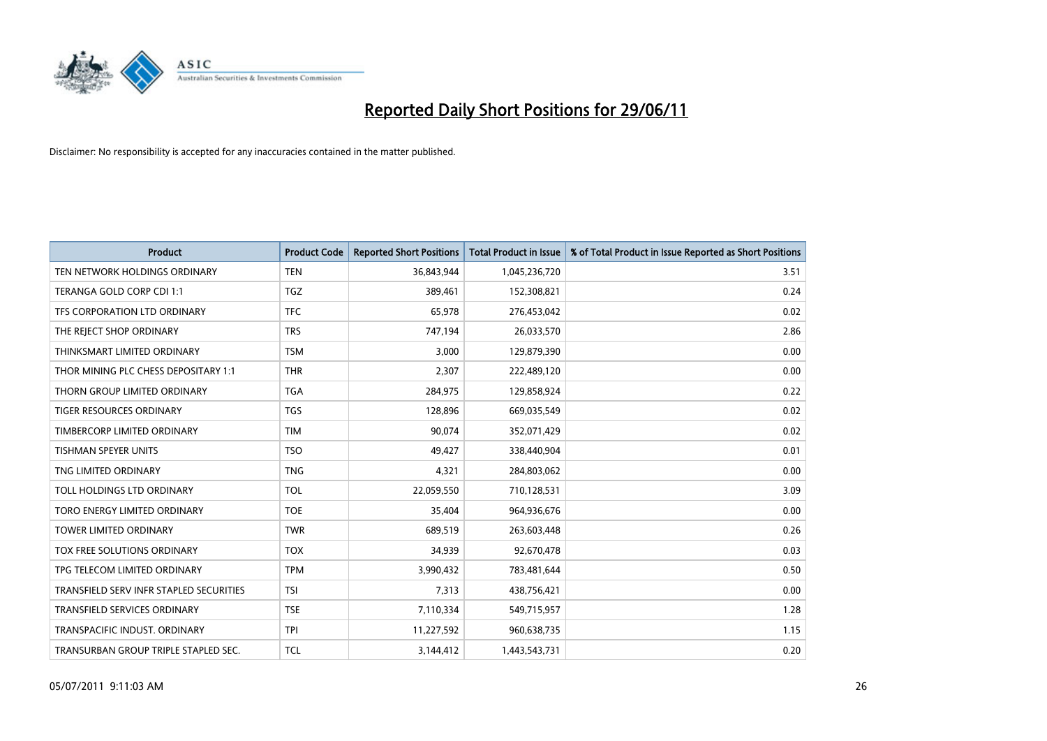

| <b>Product</b>                          | <b>Product Code</b> | <b>Reported Short Positions</b> | <b>Total Product in Issue</b> | % of Total Product in Issue Reported as Short Positions |
|-----------------------------------------|---------------------|---------------------------------|-------------------------------|---------------------------------------------------------|
| TEN NETWORK HOLDINGS ORDINARY           | <b>TEN</b>          | 36,843,944                      | 1,045,236,720                 | 3.51                                                    |
| TERANGA GOLD CORP CDI 1:1               | <b>TGZ</b>          | 389,461                         | 152,308,821                   | 0.24                                                    |
| TFS CORPORATION LTD ORDINARY            | <b>TFC</b>          | 65,978                          | 276,453,042                   | 0.02                                                    |
| THE REJECT SHOP ORDINARY                | <b>TRS</b>          | 747,194                         | 26,033,570                    | 2.86                                                    |
| THINKSMART LIMITED ORDINARY             | <b>TSM</b>          | 3,000                           | 129,879,390                   | 0.00                                                    |
| THOR MINING PLC CHESS DEPOSITARY 1:1    | <b>THR</b>          | 2,307                           | 222,489,120                   | 0.00                                                    |
| THORN GROUP LIMITED ORDINARY            | <b>TGA</b>          | 284,975                         | 129,858,924                   | 0.22                                                    |
| TIGER RESOURCES ORDINARY                | <b>TGS</b>          | 128,896                         | 669,035,549                   | 0.02                                                    |
| TIMBERCORP LIMITED ORDINARY             | <b>TIM</b>          | 90,074                          | 352,071,429                   | 0.02                                                    |
| <b>TISHMAN SPEYER UNITS</b>             | <b>TSO</b>          | 49,427                          | 338,440,904                   | 0.01                                                    |
| TNG LIMITED ORDINARY                    | <b>TNG</b>          | 4,321                           | 284,803,062                   | 0.00                                                    |
| TOLL HOLDINGS LTD ORDINARY              | <b>TOL</b>          | 22,059,550                      | 710,128,531                   | 3.09                                                    |
| TORO ENERGY LIMITED ORDINARY            | <b>TOE</b>          | 35,404                          | 964,936,676                   | 0.00                                                    |
| <b>TOWER LIMITED ORDINARY</b>           | <b>TWR</b>          | 689,519                         | 263,603,448                   | 0.26                                                    |
| TOX FREE SOLUTIONS ORDINARY             | <b>TOX</b>          | 34,939                          | 92,670,478                    | 0.03                                                    |
| TPG TELECOM LIMITED ORDINARY            | <b>TPM</b>          | 3,990,432                       | 783,481,644                   | 0.50                                                    |
| TRANSFIELD SERV INFR STAPLED SECURITIES | <b>TSI</b>          | 7,313                           | 438,756,421                   | 0.00                                                    |
| TRANSFIELD SERVICES ORDINARY            | <b>TSE</b>          | 7,110,334                       | 549,715,957                   | 1.28                                                    |
| TRANSPACIFIC INDUST, ORDINARY           | <b>TPI</b>          | 11,227,592                      | 960,638,735                   | 1.15                                                    |
| TRANSURBAN GROUP TRIPLE STAPLED SEC.    | <b>TCL</b>          | 3,144,412                       | 1,443,543,731                 | 0.20                                                    |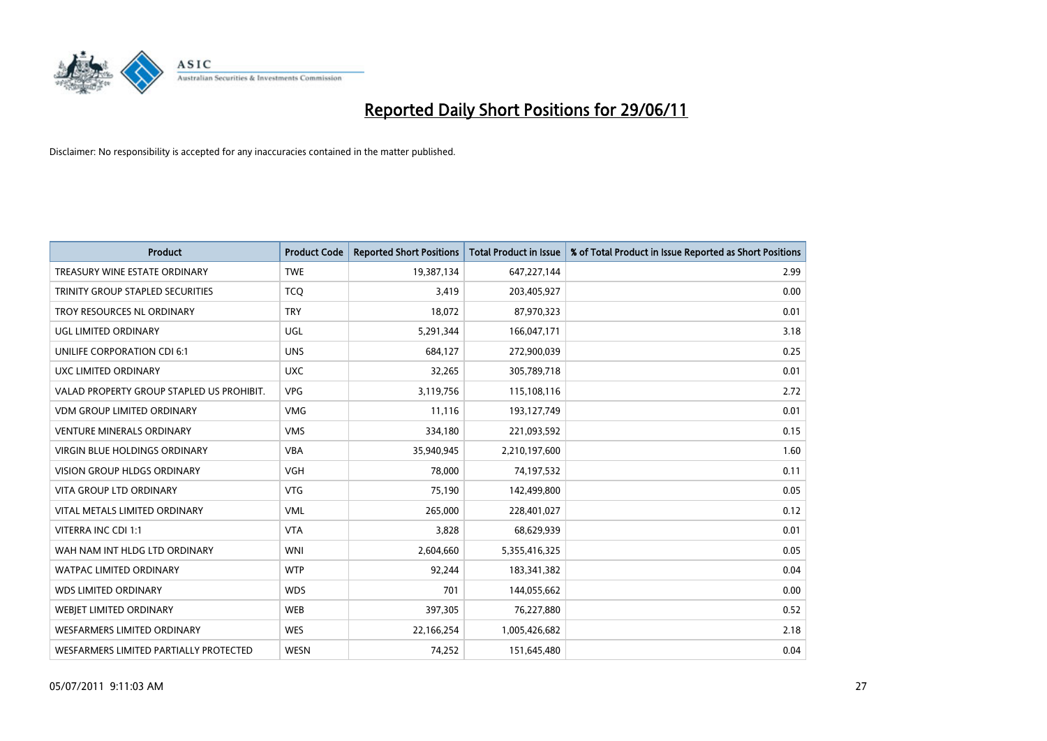

| <b>Product</b>                            | <b>Product Code</b> | <b>Reported Short Positions</b> | <b>Total Product in Issue</b> | % of Total Product in Issue Reported as Short Positions |
|-------------------------------------------|---------------------|---------------------------------|-------------------------------|---------------------------------------------------------|
| TREASURY WINE ESTATE ORDINARY             | <b>TWE</b>          | 19,387,134                      | 647,227,144                   | 2.99                                                    |
| TRINITY GROUP STAPLED SECURITIES          | <b>TCQ</b>          | 3,419                           | 203,405,927                   | 0.00                                                    |
| TROY RESOURCES NL ORDINARY                | <b>TRY</b>          | 18,072                          | 87,970,323                    | 0.01                                                    |
| <b>UGL LIMITED ORDINARY</b>               | UGL                 | 5,291,344                       | 166,047,171                   | 3.18                                                    |
| UNILIFE CORPORATION CDI 6:1               | <b>UNS</b>          | 684,127                         | 272,900,039                   | 0.25                                                    |
| UXC LIMITED ORDINARY                      | <b>UXC</b>          | 32,265                          | 305,789,718                   | 0.01                                                    |
| VALAD PROPERTY GROUP STAPLED US PROHIBIT. | <b>VPG</b>          | 3,119,756                       | 115,108,116                   | 2.72                                                    |
| <b>VDM GROUP LIMITED ORDINARY</b>         | <b>VMG</b>          | 11,116                          | 193,127,749                   | 0.01                                                    |
| <b>VENTURE MINERALS ORDINARY</b>          | <b>VMS</b>          | 334,180                         | 221,093,592                   | 0.15                                                    |
| <b>VIRGIN BLUE HOLDINGS ORDINARY</b>      | <b>VBA</b>          | 35,940,945                      | 2,210,197,600                 | 1.60                                                    |
| <b>VISION GROUP HLDGS ORDINARY</b>        | <b>VGH</b>          | 78,000                          | 74,197,532                    | 0.11                                                    |
| <b>VITA GROUP LTD ORDINARY</b>            | <b>VTG</b>          | 75,190                          | 142,499,800                   | 0.05                                                    |
| VITAL METALS LIMITED ORDINARY             | <b>VML</b>          | 265,000                         | 228,401,027                   | 0.12                                                    |
| VITERRA INC CDI 1:1                       | <b>VTA</b>          | 3,828                           | 68,629,939                    | 0.01                                                    |
| WAH NAM INT HLDG LTD ORDINARY             | <b>WNI</b>          | 2,604,660                       | 5,355,416,325                 | 0.05                                                    |
| <b>WATPAC LIMITED ORDINARY</b>            | <b>WTP</b>          | 92,244                          | 183,341,382                   | 0.04                                                    |
| <b>WDS LIMITED ORDINARY</b>               | <b>WDS</b>          | 701                             | 144,055,662                   | 0.00                                                    |
| WEBJET LIMITED ORDINARY                   | <b>WEB</b>          | 397,305                         | 76,227,880                    | 0.52                                                    |
| <b>WESFARMERS LIMITED ORDINARY</b>        | <b>WES</b>          | 22,166,254                      | 1,005,426,682                 | 2.18                                                    |
| WESFARMERS LIMITED PARTIALLY PROTECTED    | <b>WESN</b>         | 74,252                          | 151,645,480                   | 0.04                                                    |